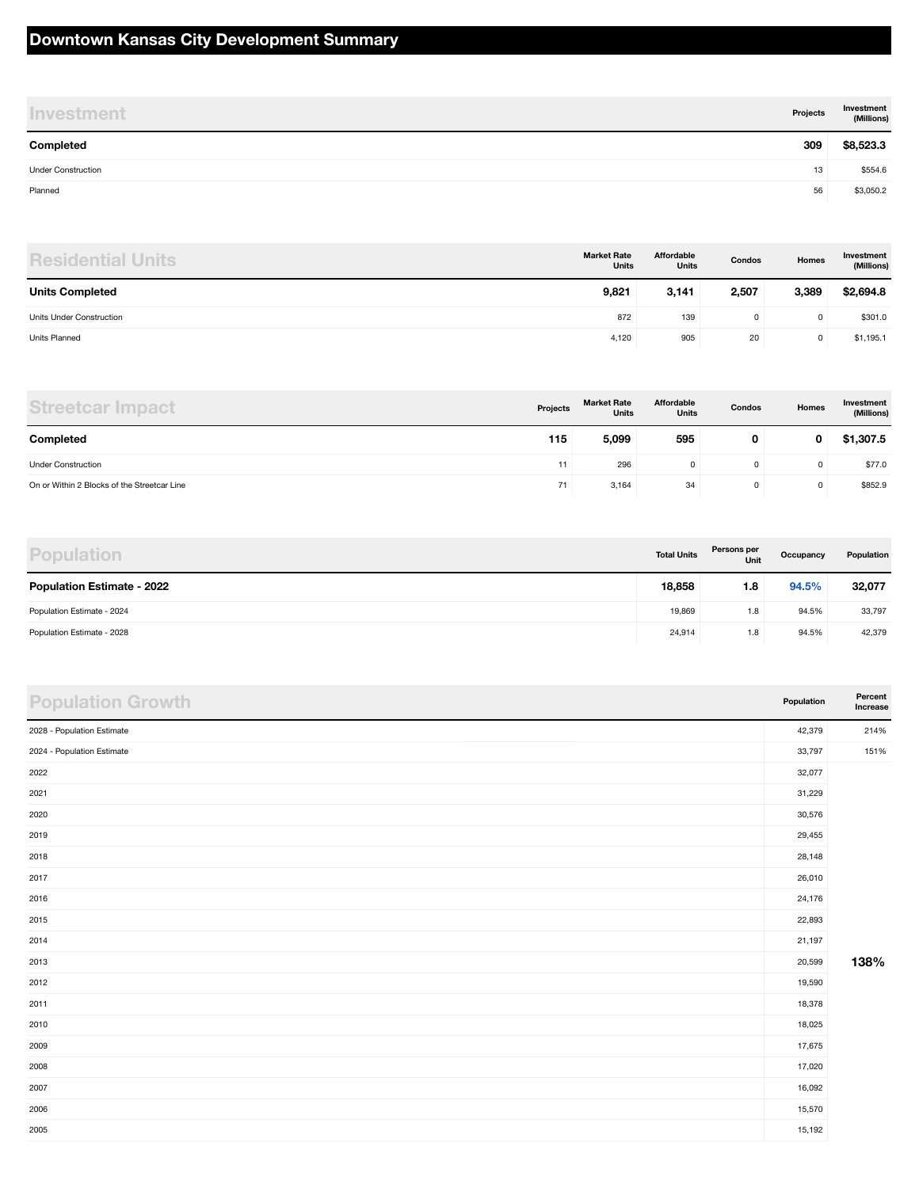#### **Downtown Kansas City Development Summary**

| <b>Investment</b>         | Projects | Investment<br>(Millions) |
|---------------------------|----------|--------------------------|
| Completed                 | 309      | \$8,523.3                |
| <b>Under Construction</b> | 13       | \$554.6                  |
| Planned                   | 56       | \$3,050.2                |

| <b>Residential Units</b> | <b>Market Rate</b><br><b>Units</b> | Affordable<br><b>Units</b> | Condos | Homes | Investment<br>(Millions) |
|--------------------------|------------------------------------|----------------------------|--------|-------|--------------------------|
| <b>Units Completed</b>   | 9,821                              | 3,141                      | 2,507  | 3,389 | \$2,694.8                |
| Units Under Construction | 872                                | 139                        | 0      |       | \$301.0                  |
| <b>Units Planned</b>     | 4,120                              | 905                        | 20     |       | \$1,195.1                |

| <b>Streetcar Impact</b>                     | Projects | <b>Market Rate</b><br><b>Units</b> | Affordable<br><b>Units</b> | Condos | Homes | Investment<br>(Millions) |
|---------------------------------------------|----------|------------------------------------|----------------------------|--------|-------|--------------------------|
| Completed                                   | 115      | 5,099                              | 595                        | 0      | 0     | \$1,307.5                |
| <b>Under Construction</b>                   | 11       | 296                                |                            |        |       | \$77.0                   |
| On or Within 2 Blocks of the Streetcar Line | 71       | 3,164                              | 34                         |        |       | \$852.9                  |

| <b>Population</b>                 | <b>Total Units</b> | Persons per<br>Unit | Occupancy | Population |
|-----------------------------------|--------------------|---------------------|-----------|------------|
| <b>Population Estimate - 2022</b> | 18,858             | 1.8                 | 94.5%     | 32,077     |
| Population Estimate - 2024        | 19,869             | 1.8                 | 94.5%     | 33,797     |
| Population Estimate - 2028        | 24,914             | 1.8                 | 94.5%     | 42,379     |

| <b>Population Growth</b>   | Population | Percent<br>Increase |
|----------------------------|------------|---------------------|
| 2028 - Population Estimate | 42,379     | 214%                |
| 2024 - Population Estimate | 33,797     | 151%                |
| 2022                       | 32,077     |                     |
| 2021                       | 31,229     |                     |
| 2020                       | 30,576     |                     |
| 2019                       | 29,455     |                     |
| 2018                       | 28,148     |                     |
| 2017                       | 26,010     |                     |
| 2016                       | 24,176     |                     |
| 2015                       | 22,893     |                     |
| 2014                       | 21,197     |                     |
| 2013                       | 20,599     | 138%                |
| 2012                       | 19,590     |                     |
| 2011                       | 18,378     |                     |
| 2010                       | 18,025     |                     |
| 2009                       | 17,675     |                     |
| 2008                       | 17,020     |                     |
| 2007                       | 16,092     |                     |
| 2006                       | 15,570     |                     |
| 2005                       | 15,192     |                     |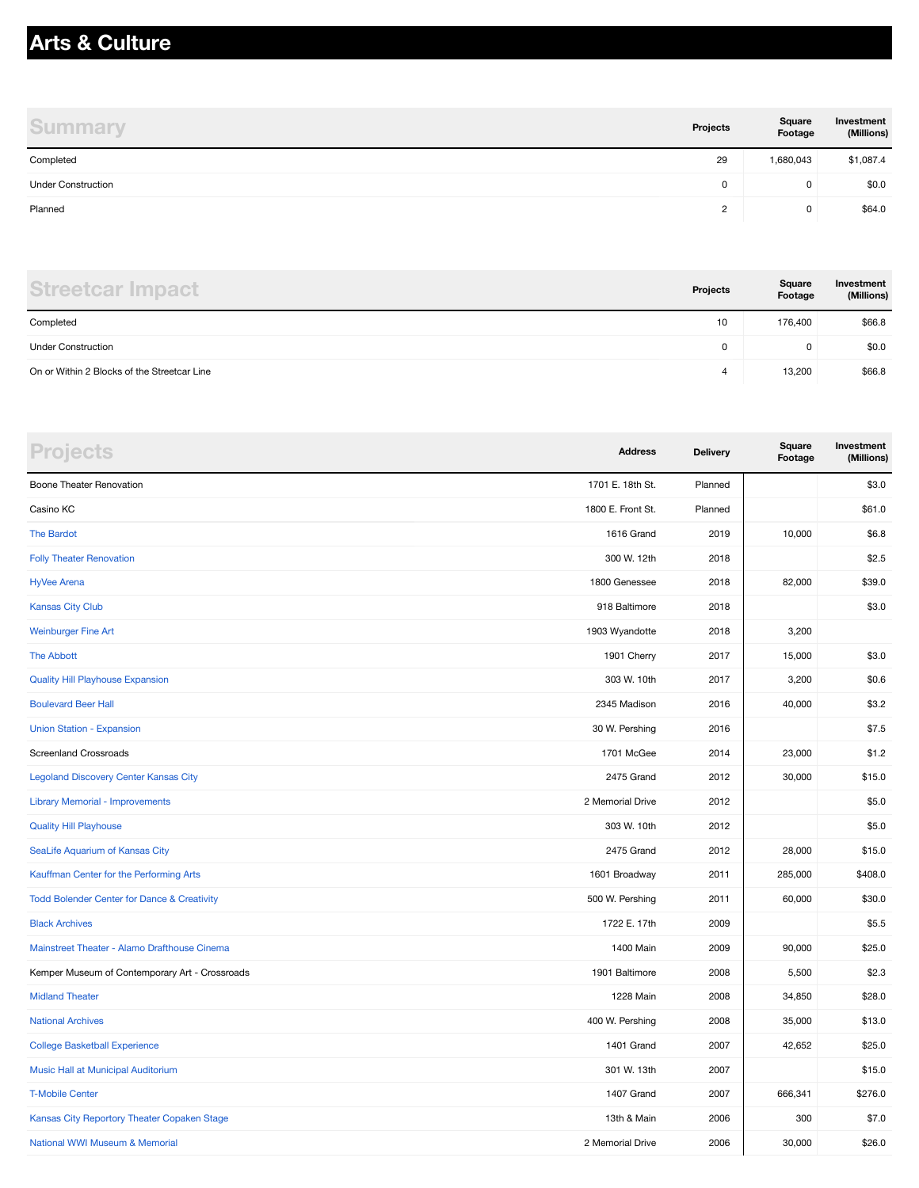#### **Arts & Culture**

| <b>Summary</b>            | Projects | Square<br>Footage | Investment<br>(Millions) |
|---------------------------|----------|-------------------|--------------------------|
| Completed                 | 29       | 1,680,043         | \$1,087.4                |
| <b>Under Construction</b> | 0        | 0                 | \$0.0                    |
| Planned                   | 2        | 0                 | \$64.0                   |

| <b>Streetcar Impact</b>                     | Projects | Square<br>Footage | Investment<br>(Millions) |
|---------------------------------------------|----------|-------------------|--------------------------|
| Completed                                   | 10       | 176.400           | \$66.8                   |
| <b>Under Construction</b>                   | 0        | $\mathbf 0$       | \$0.0                    |
| On or Within 2 Blocks of the Streetcar Line | Д        | 13,200            | \$66.8                   |

| <b>Projects</b>                                        | <b>Address</b>    | <b>Delivery</b> | Square<br>Footage | Investment<br>(Millions) |
|--------------------------------------------------------|-------------------|-----------------|-------------------|--------------------------|
| Boone Theater Renovation                               | 1701 E. 18th St.  | Planned         |                   | \$3.0                    |
| Casino KC                                              | 1800 E. Front St. | Planned         |                   | \$61.0                   |
| <b>The Bardot</b>                                      | 1616 Grand        | 2019            | 10,000            | \$6.8                    |
| <b>Folly Theater Renovation</b>                        | 300 W. 12th       | 2018            |                   | \$2.5                    |
| <b>HyVee Arena</b>                                     | 1800 Genessee     | 2018            | 82,000            | \$39.0                   |
| <b>Kansas City Club</b>                                | 918 Baltimore     | 2018            |                   | \$3.0                    |
| <b>Weinburger Fine Art</b>                             | 1903 Wyandotte    | 2018            | 3,200             |                          |
| <b>The Abbott</b>                                      | 1901 Cherry       | 2017            | 15,000            | \$3.0                    |
| <b>Quality Hill Playhouse Expansion</b>                | 303 W. 10th       | 2017            | 3,200             | \$0.6                    |
| <b>Boulevard Beer Hall</b>                             | 2345 Madison      | 2016            | 40,000            | \$3.2                    |
| <b>Union Station - Expansion</b>                       | 30 W. Pershing    | 2016            |                   | \$7.5                    |
| <b>Screenland Crossroads</b>                           | 1701 McGee        | 2014            | 23,000            | \$1.2                    |
| <b>Legoland Discovery Center Kansas City</b>           | 2475 Grand        | 2012            | 30,000            | \$15.0                   |
| <b>Library Memorial - Improvements</b>                 | 2 Memorial Drive  | 2012            |                   | \$5.0                    |
| <b>Quality Hill Playhouse</b>                          | 303 W. 10th       | 2012            |                   | \$5.0                    |
| SeaLife Aquarium of Kansas City                        | 2475 Grand        | 2012            | 28,000            | \$15.0                   |
| Kauffman Center for the Performing Arts                | 1601 Broadway     | 2011            | 285,000           | \$408.0                  |
| <b>Todd Bolender Center for Dance &amp; Creativity</b> | 500 W. Pershing   | 2011            | 60,000            | \$30.0                   |
| <b>Black Archives</b>                                  | 1722 E. 17th      | 2009            |                   | \$5.5                    |
| Mainstreet Theater - Alamo Drafthouse Cinema           | 1400 Main         | 2009            | 90,000            | \$25.0                   |
| Kemper Museum of Contemporary Art - Crossroads         | 1901 Baltimore    | 2008            | 5,500             | \$2.3                    |
| <b>Midland Theater</b>                                 | 1228 Main         | 2008            | 34,850            | \$28.0                   |
| <b>National Archives</b>                               | 400 W. Pershing   | 2008            | 35,000            | \$13.0                   |
| <b>College Basketball Experience</b>                   | 1401 Grand        | 2007            | 42,652            | \$25.0                   |
| Music Hall at Municipal Auditorium                     | 301 W. 13th       | 2007            |                   | \$15.0                   |
| <b>T-Mobile Center</b>                                 | 1407 Grand        | 2007            | 666,341           | \$276.0                  |
| Kansas City Reportory Theater Copaken Stage            | 13th & Main       | 2006            | 300               | \$7.0                    |
| National WWI Museum & Memorial                         | 2 Memorial Drive  | 2006            | 30,000            | \$26.0                   |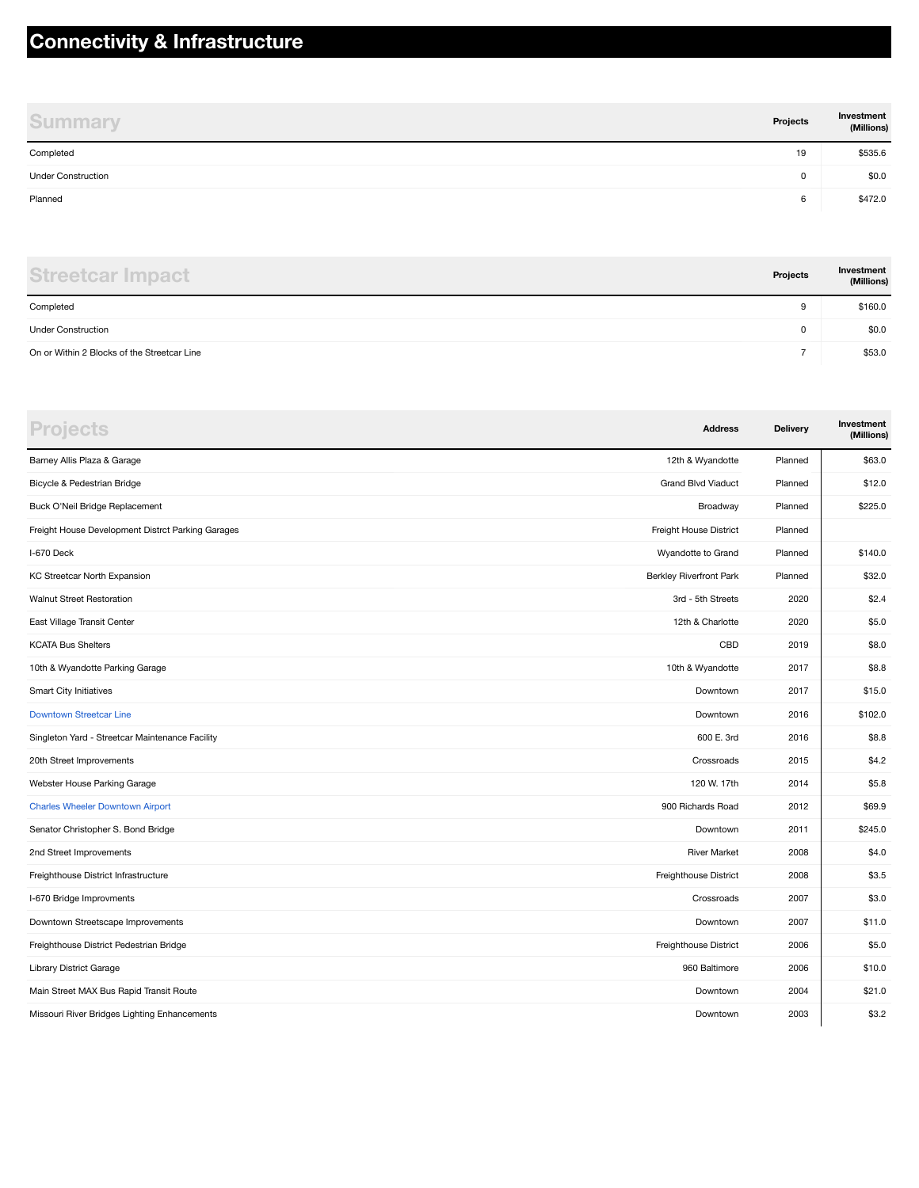#### **Connectivity & Infrastructure**

| <b>Summary</b>            | Projects | Investment<br>(Millions) |
|---------------------------|----------|--------------------------|
| Completed                 | 19       | \$535.6                  |
| <b>Under Construction</b> | 0        | \$0.0                    |
| Planned                   | 6        | \$472.0                  |

| <b>Streetcar Impact</b>                     | Projects | Investment<br>(Millions) |
|---------------------------------------------|----------|--------------------------|
| Completed                                   | 9        | \$160.0                  |
| <b>Under Construction</b>                   | 0        | \$0.0                    |
| On or Within 2 Blocks of the Streetcar Line |          | \$53.0                   |

| <b>Projects</b>                                   | <b>Address</b>                 | Delivery | Investment<br>(Millions) |
|---------------------------------------------------|--------------------------------|----------|--------------------------|
| Barney Allis Plaza & Garage                       | 12th & Wyandotte               | Planned  | \$63.0                   |
| Bicycle & Pedestrian Bridge                       | <b>Grand Blvd Viaduct</b>      | Planned  | \$12.0                   |
| Buck O'Neil Bridge Replacement                    | Broadway                       | Planned  | \$225.0                  |
| Freight House Development Distrct Parking Garages | Freight House District         | Planned  |                          |
| I-670 Deck                                        | Wyandotte to Grand             | Planned  | \$140.0                  |
| KC Streetcar North Expansion                      | <b>Berkley Riverfront Park</b> | Planned  | \$32.0                   |
| <b>Walnut Street Restoration</b>                  | 3rd - 5th Streets              | 2020     | \$2.4                    |
| East Village Transit Center                       | 12th & Charlotte               | 2020     | \$5.0                    |
| <b>KCATA Bus Shelters</b>                         | CBD                            | 2019     | \$8.0                    |
| 10th & Wyandotte Parking Garage                   | 10th & Wyandotte               | 2017     | \$8.8                    |
| Smart City Initiatives                            | Downtown                       | 2017     | \$15.0                   |
| <b>Downtown Streetcar Line</b>                    | Downtown                       | 2016     | \$102.0                  |
| Singleton Yard - Streetcar Maintenance Facility   | 600 E. 3rd                     | 2016     | \$8.8                    |
| 20th Street Improvements                          | Crossroads                     | 2015     | \$4.2                    |
| Webster House Parking Garage                      | 120 W. 17th                    | 2014     | \$5.8                    |
| <b>Charles Wheeler Downtown Airport</b>           | 900 Richards Road              | 2012     | \$69.9                   |
| Senator Christopher S. Bond Bridge                | Downtown                       | 2011     | \$245.0                  |
| 2nd Street Improvements                           | <b>River Market</b>            | 2008     | \$4.0                    |
| Freighthouse District Infrastructure              | Freighthouse District          | 2008     | \$3.5                    |
| I-670 Bridge Improvments                          | Crossroads                     | 2007     | \$3.0                    |
| Downtown Streetscape Improvements                 | Downtown                       | 2007     | \$11.0                   |
| Freighthouse District Pedestrian Bridge           | Freighthouse District          | 2006     | \$5.0                    |
| Library District Garage                           | 960 Baltimore                  | 2006     | \$10.0                   |
| Main Street MAX Bus Rapid Transit Route           | Downtown                       | 2004     | \$21.0                   |
| Missouri River Bridges Lighting Enhancements      | Downtown                       | 2003     | \$3.2                    |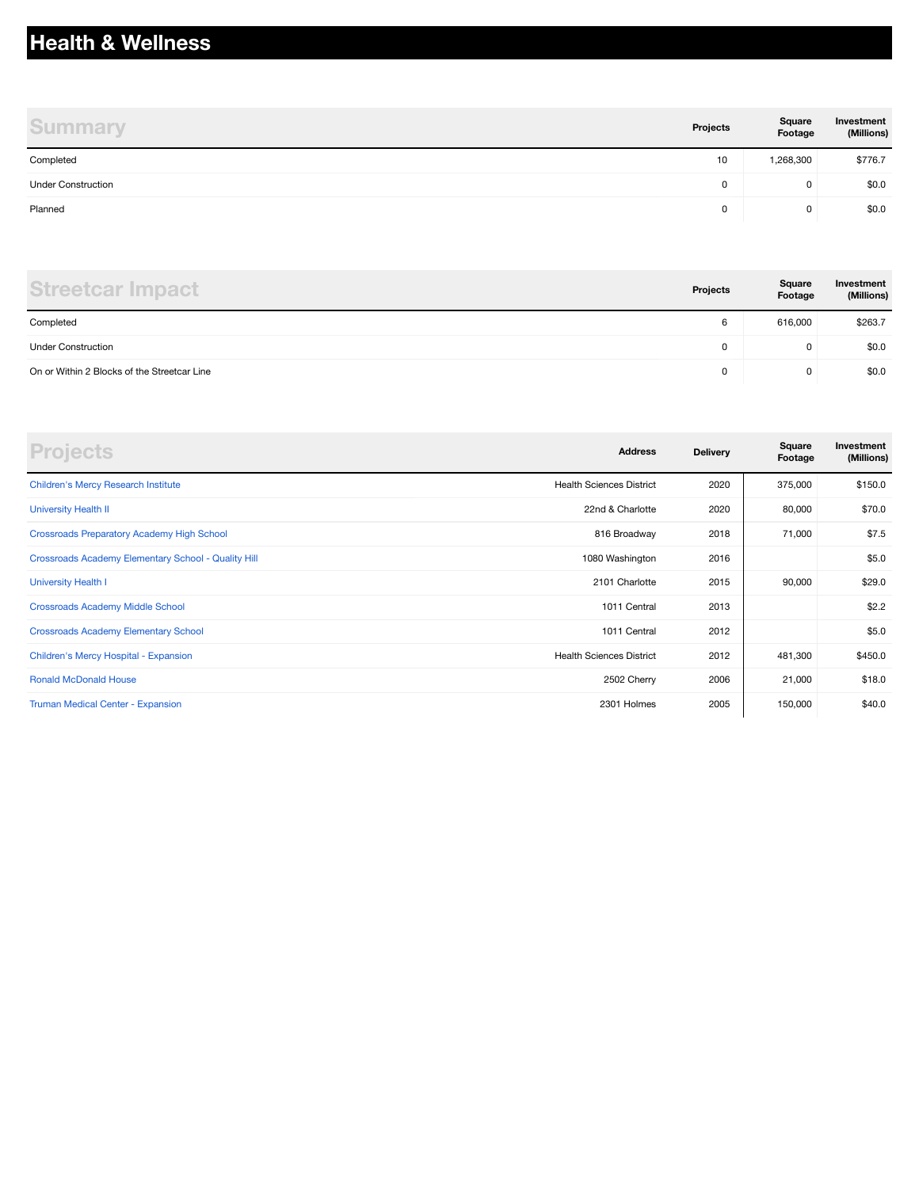# **Health & Wellness**

| <b>Summary</b>            | Projects | Square<br>Footage | Investment<br>(Millions) |
|---------------------------|----------|-------------------|--------------------------|
| Completed                 | 10       | 1,268,300         | \$776.7                  |
| <b>Under Construction</b> | 0        | 0                 | \$0.0                    |
| Planned                   | 0        | 0                 | \$0.0                    |

| <b>Streetcar Impact</b>                     | Projects | Square<br>Footage | Investment<br>(Millions) |
|---------------------------------------------|----------|-------------------|--------------------------|
| Completed                                   | 6        | 616,000           | \$263.7                  |
| <b>Under Construction</b>                   | 0        | 0                 | \$0.0                    |
| On or Within 2 Blocks of the Streetcar Line | 0        | 0                 | \$0.0                    |

| <b>Projects</b>                                     | <b>Address</b>                  | <b>Delivery</b> | Square<br>Footage | Investment<br>(Millions) |
|-----------------------------------------------------|---------------------------------|-----------------|-------------------|--------------------------|
| <b>Children's Mercy Research Institute</b>          | <b>Health Sciences District</b> | 2020            | 375,000           | \$150.0                  |
| <b>University Health II</b>                         | 22nd & Charlotte                | 2020            | 80,000            | \$70.0                   |
| <b>Crossroads Preparatory Academy High School</b>   | 816 Broadway                    | 2018            | 71,000            | \$7.5                    |
| Crossroads Academy Elementary School - Quality Hill | 1080 Washington                 | 2016            |                   | \$5.0                    |
| <b>University Health I</b>                          | 2101 Charlotte                  | 2015            | 90,000            | \$29.0                   |
| <b>Crossroads Academy Middle School</b>             | 1011 Central                    | 2013            |                   | \$2.2                    |
| <b>Crossroads Academy Elementary School</b>         | 1011 Central                    | 2012            |                   | \$5.0                    |
| Children's Mercy Hospital - Expansion               | <b>Health Sciences District</b> | 2012            | 481,300           | \$450.0                  |
| <b>Ronald McDonald House</b>                        | 2502 Cherry                     | 2006            | 21,000            | \$18.0                   |
| <b>Truman Medical Center - Expansion</b>            | 2301 Holmes                     | 2005            | 150,000           | \$40.0                   |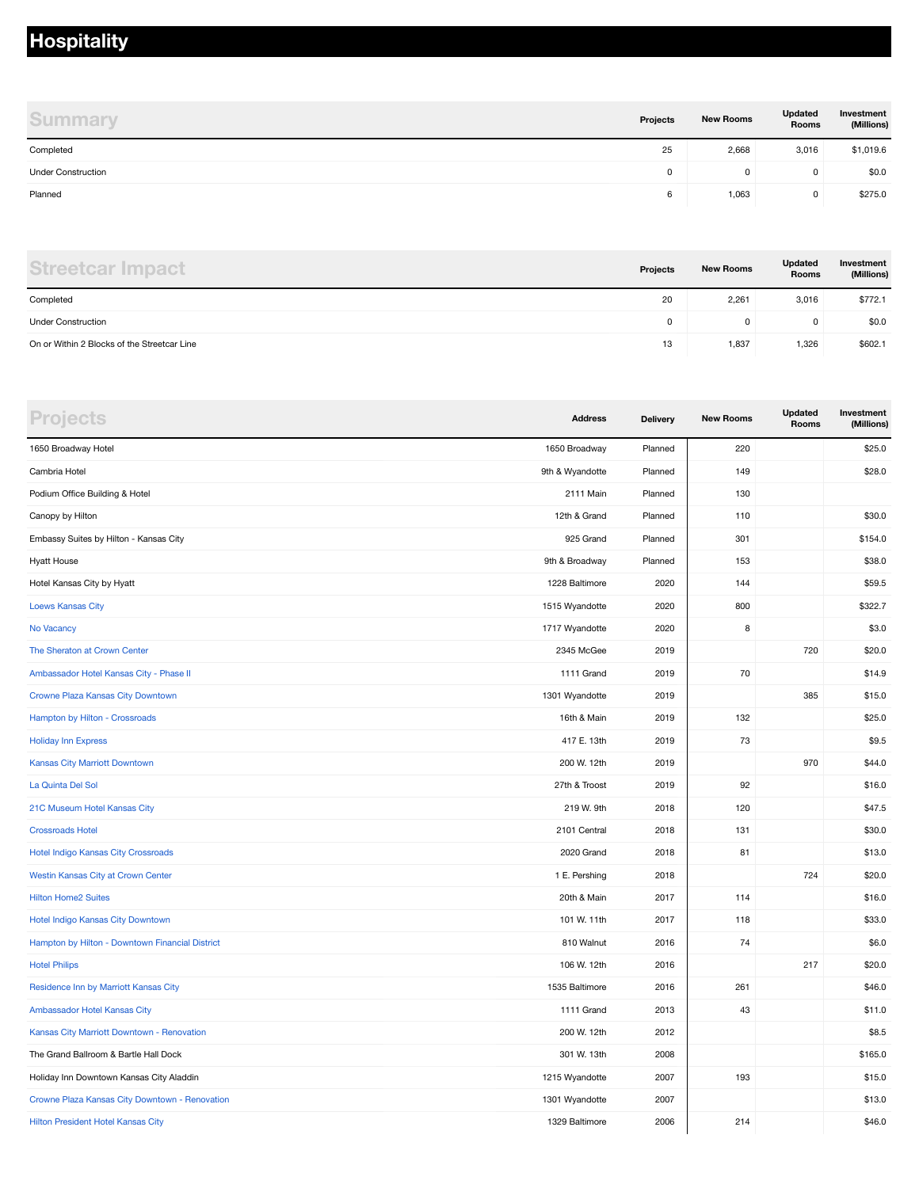#### **Hospitality**

| <b>Summary</b>            | Projects | <b>New Rooms</b> | Updated<br>Rooms | Investment<br>(Millions) |
|---------------------------|----------|------------------|------------------|--------------------------|
| Completed                 | 25       | 2,668            | 3,016            | \$1,019.6                |
| <b>Under Construction</b> | 0        | 0                | O                | \$0.0                    |
| Planned                   | 6        | 1,063            | 0                | \$275.0                  |

| <b>Streetcar Impact</b>                     | Projects | <b>New Rooms</b> | Updated<br><b>Rooms</b> | Investment<br>(Millions) |
|---------------------------------------------|----------|------------------|-------------------------|--------------------------|
| Completed                                   | 20       | 2,261            | 3,016                   | \$772.1                  |
| <b>Under Construction</b>                   |          | 0                | 0                       | \$0.0                    |
| On or Within 2 Blocks of the Streetcar Line | 13       | 1,837            | 1,326                   | \$602.1                  |

| <b>Projects</b>                                 | <b>Address</b>  | <b>Delivery</b> | <b>New Rooms</b> | <b>Updated</b><br>Rooms | Investment<br>(Millions) |
|-------------------------------------------------|-----------------|-----------------|------------------|-------------------------|--------------------------|
| 1650 Broadway Hotel                             | 1650 Broadway   | Planned         | 220              |                         | \$25.0                   |
| Cambria Hotel                                   | 9th & Wyandotte | Planned         | 149              |                         | \$28.0                   |
| Podium Office Building & Hotel                  | 2111 Main       | Planned         | 130              |                         |                          |
| Canopy by Hilton                                | 12th & Grand    | Planned         | 110              |                         | \$30.0                   |
| Embassy Suites by Hilton - Kansas City          | 925 Grand       | Planned         | 301              |                         | \$154.0                  |
| <b>Hyatt House</b>                              | 9th & Broadway  | Planned         | 153              |                         | \$38.0                   |
| Hotel Kansas City by Hyatt                      | 1228 Baltimore  | 2020            | 144              |                         | \$59.5                   |
| <b>Loews Kansas City</b>                        | 1515 Wyandotte  | 2020            | 800              |                         | \$322.7                  |
| No Vacancy                                      | 1717 Wyandotte  | 2020            | 8                |                         | \$3.0                    |
| The Sheraton at Crown Center                    | 2345 McGee      | 2019            |                  | 720                     | \$20.0                   |
| Ambassador Hotel Kansas City - Phase II         | 1111 Grand      | 2019            | 70               |                         | \$14.9                   |
| Crowne Plaza Kansas City Downtown               | 1301 Wyandotte  | 2019            |                  | 385                     | \$15.0                   |
| Hampton by Hilton - Crossroads                  | 16th & Main     | 2019            | 132              |                         | \$25.0                   |
| <b>Holiday Inn Express</b>                      | 417 E. 13th     | 2019            | 73               |                         | \$9.5                    |
| Kansas City Marriott Downtown                   | 200 W. 12th     | 2019            |                  | 970                     | \$44.0                   |
| La Quinta Del Sol                               | 27th & Troost   | 2019            | 92               |                         | \$16.0                   |
| 21C Museum Hotel Kansas City                    | 219 W. 9th      | 2018            | 120              |                         | \$47.5                   |
| <b>Crossroads Hotel</b>                         | 2101 Central    | 2018            | 131              |                         | \$30.0                   |
| Hotel Indigo Kansas City Crossroads             | 2020 Grand      | 2018            | 81               |                         | \$13.0                   |
| Westin Kansas City at Crown Center              | 1 E. Pershing   | 2018            |                  | 724                     | \$20.0                   |
| <b>Hilton Home2 Suites</b>                      | 20th & Main     | 2017            | 114              |                         | \$16.0                   |
| Hotel Indigo Kansas City Downtown               | 101 W. 11th     | 2017            | 118              |                         | \$33.0                   |
| Hampton by Hilton - Downtown Financial District | 810 Walnut      | 2016            | 74               |                         | \$6.0                    |
| <b>Hotel Philips</b>                            | 106 W. 12th     | 2016            |                  | 217                     | \$20.0                   |
| Residence Inn by Marriott Kansas City           | 1535 Baltimore  | 2016            | 261              |                         | \$46.0                   |
| Ambassador Hotel Kansas City                    | 1111 Grand      | 2013            | 43               |                         | \$11.0                   |
| Kansas City Marriott Downtown - Renovation      | 200 W. 12th     | 2012            |                  |                         | \$8.5                    |
| The Grand Ballroom & Bartle Hall Dock           | 301 W. 13th     | 2008            |                  |                         | \$165.0                  |
| Holiday Inn Downtown Kansas City Aladdin        | 1215 Wyandotte  | 2007            | 193              |                         | \$15.0                   |
| Crowne Plaza Kansas City Downtown - Renovation  | 1301 Wyandotte  | 2007            |                  |                         | \$13.0                   |
| Hilton President Hotel Kansas City              | 1329 Baltimore  | 2006            | 214              |                         | \$46.0                   |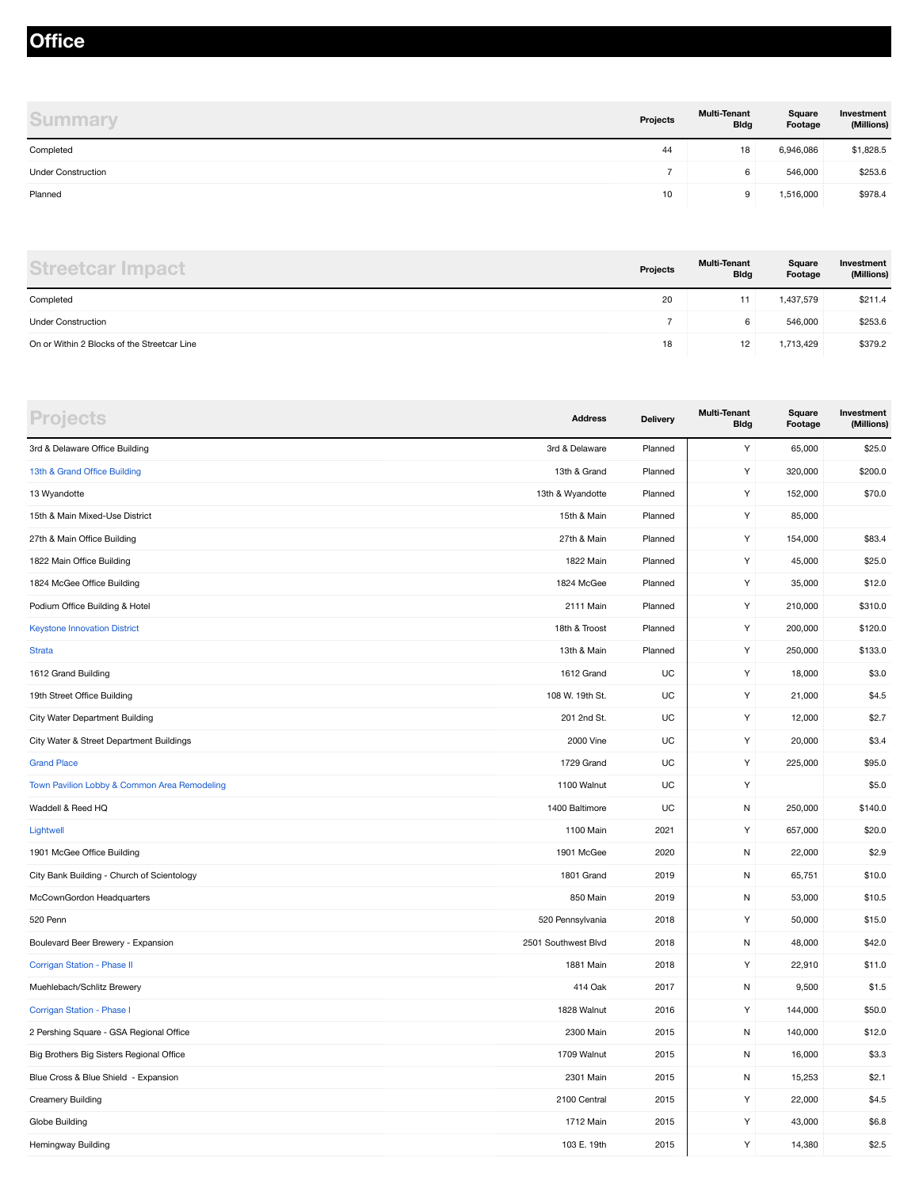#### **Office**

| <b>Summary</b>            | Projects | <b>Multi-Tenant</b><br><b>Bldg</b> | Square<br>Footage | Investment<br>(Millions) |
|---------------------------|----------|------------------------------------|-------------------|--------------------------|
| Completed                 | 44       | 18                                 | 6,946,086         | \$1,828.5                |
| <b>Under Construction</b> |          | 6                                  | 546,000           | \$253.6                  |
| Planned                   | 10       | 9                                  | 1,516,000         | \$978.4                  |

| <b>Streetcar Impact</b>                     | Projects | <b>Multi-Tenant</b><br><b>Bldg</b> | Square<br>Footage | Investment<br>(Millions) |
|---------------------------------------------|----------|------------------------------------|-------------------|--------------------------|
| Completed                                   | 20       | 11                                 | 1,437,579         | \$211.4                  |
| <b>Under Construction</b>                   |          | 6                                  | 546,000           | \$253.6                  |
| On or Within 2 Blocks of the Streetcar Line | 18       | 12                                 | 1,713,429         | \$379.2                  |

| <b>Projects</b>                              | <b>Address</b>      | <b>Delivery</b> | <b>Multi-Tenant</b><br><b>Bldg</b> | Square<br>Footage | Investment<br>(Millions) |
|----------------------------------------------|---------------------|-----------------|------------------------------------|-------------------|--------------------------|
| 3rd & Delaware Office Building               | 3rd & Delaware      | Planned         | Υ                                  | 65,000            | \$25.0                   |
| 13th & Grand Office Building                 | 13th & Grand        | Planned         | Υ                                  | 320,000           | \$200.0                  |
| 13 Wyandotte                                 | 13th & Wyandotte    | Planned         | Υ                                  | 152,000           | \$70.0                   |
| 15th & Main Mixed-Use District               | 15th & Main         | Planned         | Υ                                  | 85,000            |                          |
| 27th & Main Office Building                  | 27th & Main         | Planned         | Υ                                  | 154,000           | \$83.4                   |
| 1822 Main Office Building                    | 1822 Main           | Planned         | Υ                                  | 45,000            | \$25.0                   |
| 1824 McGee Office Building                   | 1824 McGee          | Planned         | Υ                                  | 35,000            | \$12.0                   |
| Podium Office Building & Hotel               | 2111 Main           | Planned         | Υ                                  | 210,000           | \$310.0                  |
| <b>Keystone Innovation District</b>          | 18th & Troost       | Planned         | Y                                  | 200,000           | \$120.0                  |
| <b>Strata</b>                                | 13th & Main         | Planned         | Y                                  | 250,000           | \$133.0                  |
| 1612 Grand Building                          | 1612 Grand          | UC              | Υ                                  | 18,000            | \$3.0                    |
| 19th Street Office Building                  | 108 W. 19th St.     | UC              | Υ                                  | 21,000            | \$4.5                    |
| <b>City Water Department Building</b>        | 201 2nd St.         | UC              | Υ                                  | 12,000            | \$2.7                    |
| City Water & Street Department Buildings     | 2000 Vine           | UC              | Y                                  | 20,000            | \$3.4                    |
| <b>Grand Place</b>                           | 1729 Grand          | UC              | Υ                                  | 225,000           | \$95.0                   |
| Town Pavilion Lobby & Common Area Remodeling | 1100 Walnut         | UC              | Υ                                  |                   | \$5.0                    |
| Waddell & Reed HQ                            | 1400 Baltimore      | UC              | N                                  | 250,000           | \$140.0                  |
| Lightwell                                    | 1100 Main           | 2021            | Υ                                  | 657,000           | \$20.0                   |
| 1901 McGee Office Building                   | 1901 McGee          | 2020            | N                                  | 22,000            | \$2.9                    |
| City Bank Building - Church of Scientology   | 1801 Grand          | 2019            | ${\sf N}$                          | 65,751            | \$10.0                   |
| McCownGordon Headquarters                    | 850 Main            | 2019            | ${\sf N}$                          | 53,000            | \$10.5                   |
| 520 Penn                                     | 520 Pennsylvania    | 2018            | Υ                                  | 50,000            | \$15.0                   |
| Boulevard Beer Brewery - Expansion           | 2501 Southwest Blvd | 2018            | N                                  | 48,000            | \$42.0                   |
| Corrigan Station - Phase II                  | 1881 Main           | 2018            | Υ                                  | 22,910            | \$11.0                   |
| Muehlebach/Schlitz Brewery                   | 414 Oak             | 2017            | N                                  | 9,500             | \$1.5                    |
| Corrigan Station - Phase I                   | 1828 Walnut         | 2016            | Υ                                  | 144,000           | \$50.0                   |
| 2 Pershing Square - GSA Regional Office      | 2300 Main           | 2015            | ${\sf N}$                          | 140,000           | \$12.0                   |
| Big Brothers Big Sisters Regional Office     | 1709 Walnut         | 2015            | N                                  | 16,000            | \$3.3                    |
| Blue Cross & Blue Shield - Expansion         | 2301 Main           | 2015            | ${\sf N}$                          | 15,253            | \$2.1                    |
| <b>Creamery Building</b>                     | 2100 Central        | 2015            | Υ                                  | 22,000            | \$4.5                    |
| Globe Building                               | 1712 Main           | 2015            | Υ                                  | 43,000            | \$6.8                    |
| Hemingway Building                           | 103 E. 19th         | 2015            | Υ                                  | 14,380            | \$2.5                    |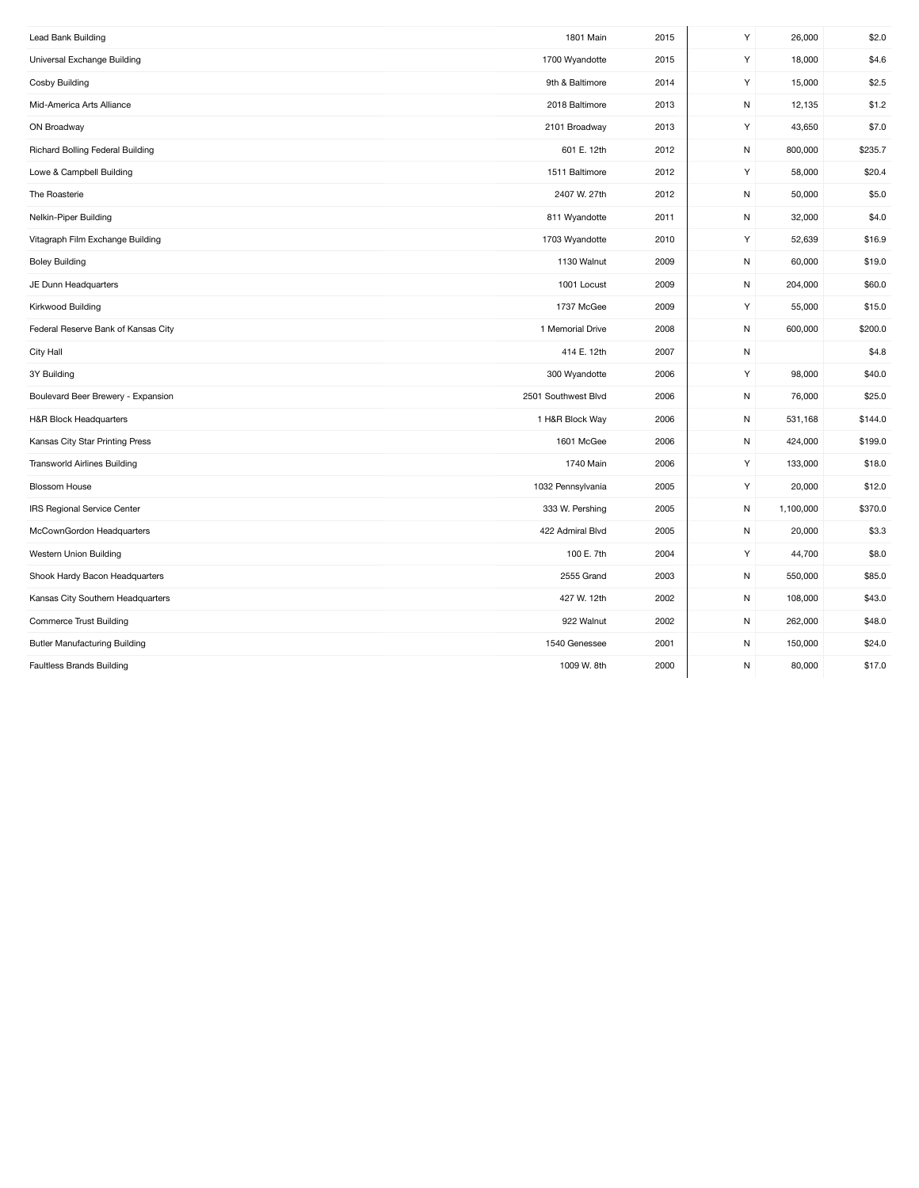| Lead Bank Building                   | 1801 Main           | 2015 | Y         | 26,000    | \$2.0   |
|--------------------------------------|---------------------|------|-----------|-----------|---------|
| Universal Exchange Building          | 1700 Wyandotte      | 2015 | Y         | 18,000    | \$4.6   |
| Cosby Building                       | 9th & Baltimore     | 2014 | Y         | 15,000    | \$2.5   |
| Mid-America Arts Alliance            | 2018 Baltimore      | 2013 | N         | 12,135    | \$1.2   |
| ON Broadway                          | 2101 Broadway       | 2013 | Y         | 43,650    | \$7.0   |
| Richard Bolling Federal Building     | 601 E. 12th         | 2012 | N         | 800,000   | \$235.7 |
| Lowe & Campbell Building             | 1511 Baltimore      | 2012 | Y         | 58,000    | \$20.4  |
| The Roasterie                        | 2407 W. 27th        | 2012 | N         | 50,000    | \$5.0   |
| Nelkin-Piper Building                | 811 Wyandotte       | 2011 | N         | 32,000    | \$4.0   |
| Vitagraph Film Exchange Building     | 1703 Wyandotte      | 2010 | Y         | 52,639    | \$16.9  |
| <b>Boley Building</b>                | 1130 Walnut         | 2009 | N         | 60,000    | \$19.0  |
| JE Dunn Headquarters                 | 1001 Locust         | 2009 | N         | 204,000   | \$60.0  |
| Kirkwood Building                    | 1737 McGee          | 2009 | Y         | 55,000    | \$15.0  |
| Federal Reserve Bank of Kansas City  | 1 Memorial Drive    | 2008 | N         | 600,000   | \$200.0 |
| City Hall                            | 414 E. 12th         | 2007 | N         |           | \$4.8   |
| 3Y Building                          | 300 Wyandotte       | 2006 | Υ         | 98,000    | \$40.0  |
| Boulevard Beer Brewery - Expansion   | 2501 Southwest Blvd | 2006 | N         | 76,000    | \$25.0  |
| H&R Block Headquarters               | 1 H&R Block Way     | 2006 | N         | 531,168   | \$144.0 |
| Kansas City Star Printing Press      | 1601 McGee          | 2006 | N         | 424,000   | \$199.0 |
| <b>Transworld Airlines Building</b>  | 1740 Main           | 2006 | Y         | 133,000   | \$18.0  |
| Blossom House                        | 1032 Pennsylvania   | 2005 | Y         | 20,000    | \$12.0  |
| IRS Regional Service Center          | 333 W. Pershing     | 2005 | N         | 1,100,000 | \$370.0 |
| McCownGordon Headquarters            | 422 Admiral Blvd    | 2005 | N         | 20,000    | \$3.3   |
| Western Union Building               | 100 E. 7th          | 2004 | Y         | 44,700    | \$8.0   |
| Shook Hardy Bacon Headquarters       | 2555 Grand          | 2003 | N         | 550,000   | \$85.0  |
| Kansas City Southern Headquarters    | 427 W. 12th         | 2002 | N         | 108,000   | \$43.0  |
| <b>Commerce Trust Building</b>       | 922 Walnut          | 2002 | N         | 262,000   | \$48.0  |
| <b>Butler Manufacturing Building</b> | 1540 Genessee       | 2001 | N         | 150,000   | \$24.0  |
| <b>Faultless Brands Building</b>     | 1009 W. 8th         | 2000 | ${\sf N}$ | 80,000    | \$17.0  |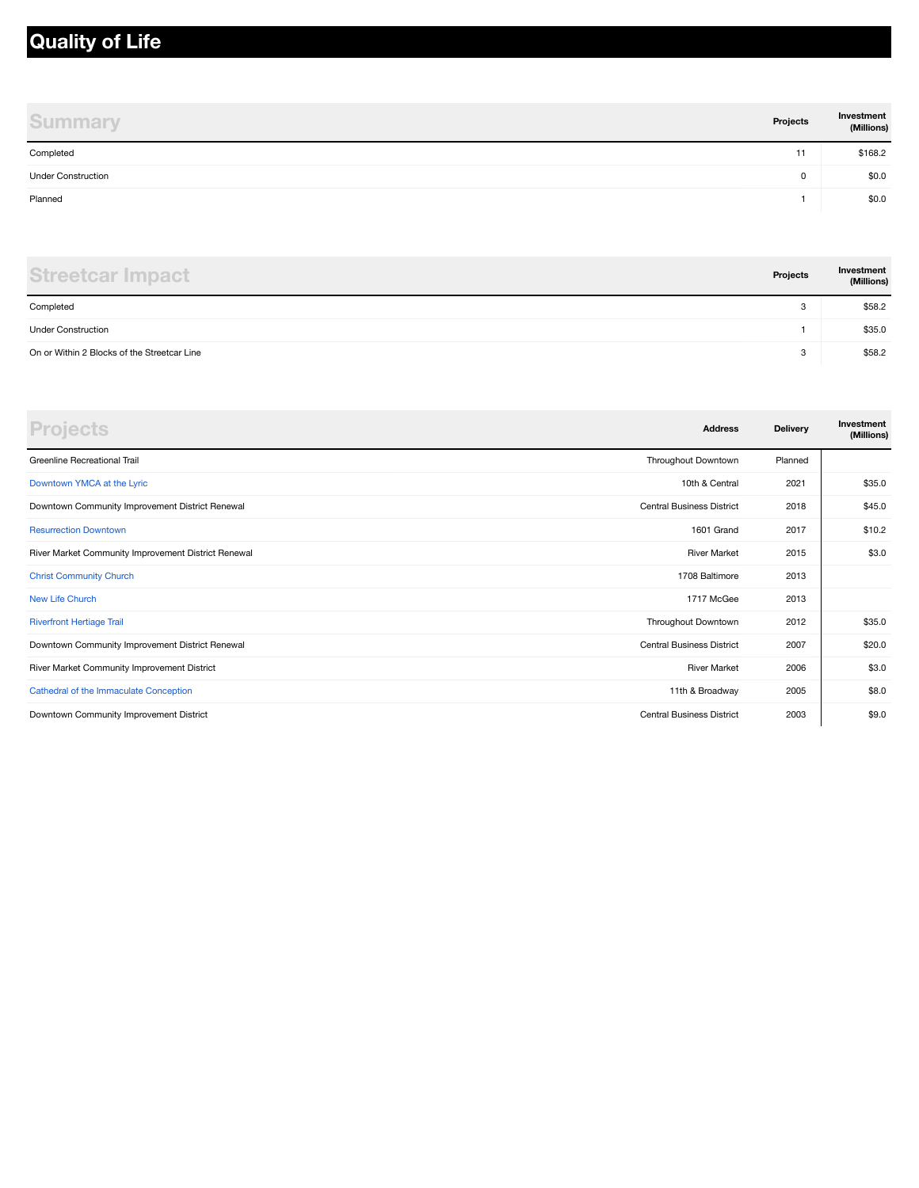## **Quality of Life**

| <b>Summary</b>            | Projects | Investment<br>(Millions) |
|---------------------------|----------|--------------------------|
| Completed                 | 11       | \$168.2                  |
| <b>Under Construction</b> | 0        | \$0.0                    |
| Planned                   |          | \$0.0                    |

| <b>Streetcar Impact</b>                     | Projects | Investment<br>(Millions) |
|---------------------------------------------|----------|--------------------------|
| Completed                                   | 3        | \$58.2                   |
| <b>Under Construction</b>                   |          | \$35.0                   |
| On or Within 2 Blocks of the Streetcar Line | 3        | \$58.2                   |

| <b>Projects</b>                                     | <b>Address</b>                   | Delivery | Investment<br>(Millions) |
|-----------------------------------------------------|----------------------------------|----------|--------------------------|
| Greenline Recreational Trail                        | Throughout Downtown              | Planned  |                          |
| Downtown YMCA at the Lyric                          | 10th & Central                   | 2021     | \$35.0                   |
| Downtown Community Improvement District Renewal     | <b>Central Business District</b> | 2018     | \$45.0                   |
| <b>Resurrection Downtown</b>                        | 1601 Grand                       | 2017     | \$10.2                   |
| River Market Community Improvement District Renewal | <b>River Market</b>              | 2015     | \$3.0                    |
| <b>Christ Community Church</b>                      | 1708 Baltimore                   | 2013     |                          |
| New Life Church                                     | 1717 McGee                       | 2013     |                          |
| <b>Riverfront Hertiage Trail</b>                    | Throughout Downtown              | 2012     | \$35.0                   |
| Downtown Community Improvement District Renewal     | <b>Central Business District</b> | 2007     | \$20.0                   |
| River Market Community Improvement District         | <b>River Market</b>              | 2006     | \$3.0                    |
| Cathedral of the Immaculate Conception              | 11th & Broadway                  | 2005     | \$8.0                    |
| Downtown Community Improvement District             | <b>Central Business District</b> | 2003     | \$9.0                    |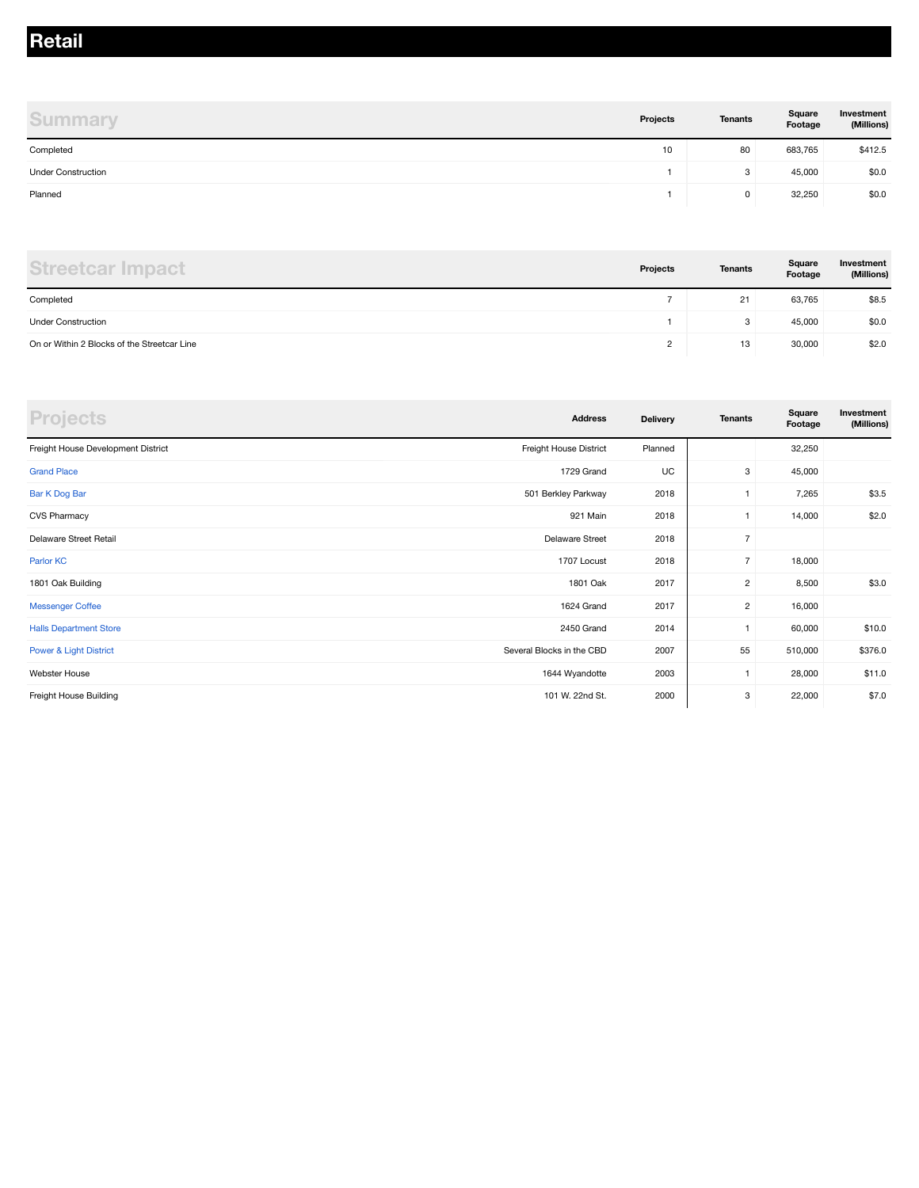#### **Retail**

| <b>Summary</b>            | Projects | <b>Tenants</b> | Square<br>Footage | Investment<br>(Millions) |
|---------------------------|----------|----------------|-------------------|--------------------------|
| Completed                 | 10       | 80             | 683,765           | \$412.5                  |
| <b>Under Construction</b> |          | 3              | 45,000            | \$0.0                    |
| Planned                   |          | 0              | 32,250            | \$0.0                    |

| <b>Streetcar Impact</b>                     | Projects | <b>Tenants</b> | Square<br>Footage | Investment<br>(Millions) |
|---------------------------------------------|----------|----------------|-------------------|--------------------------|
| Completed                                   |          | 21             | 63,765            | \$8.5                    |
| <b>Under Construction</b>                   |          | 3              | 45,000            | \$0.0                    |
| On or Within 2 Blocks of the Streetcar Line |          | 13             | 30,000            | \$2.0                    |

| <b>Projects</b>                    | <b>Address</b>            | <b>Delivery</b> | <b>Tenants</b> | Square<br>Footage | Investment<br>(Millions) |
|------------------------------------|---------------------------|-----------------|----------------|-------------------|--------------------------|
| Freight House Development District | Freight House District    | Planned         |                | 32,250            |                          |
| <b>Grand Place</b>                 | 1729 Grand                | UC              | 3              | 45,000            |                          |
| Bar K Dog Bar                      | 501 Berkley Parkway       | 2018            |                | 7,265             | \$3.5                    |
| <b>CVS Pharmacy</b>                | 921 Main                  | 2018            |                | 14,000            | \$2.0                    |
| Delaware Street Retail             | <b>Delaware Street</b>    | 2018            | $\overline{7}$ |                   |                          |
| Parlor KC                          | 1707 Locust               | 2018            | $\overline{7}$ | 18,000            |                          |
| 1801 Oak Building                  | 1801 Oak                  | 2017            | $\overline{2}$ | 8,500             | \$3.0                    |
| <b>Messenger Coffee</b>            | 1624 Grand                | 2017            | $\overline{2}$ | 16,000            |                          |
| <b>Halls Department Store</b>      | 2450 Grand                | 2014            | $\mathbf{1}$   | 60,000            | \$10.0                   |
| <b>Power &amp; Light District</b>  | Several Blocks in the CBD | 2007            | 55             | 510,000           | \$376.0                  |
| Webster House                      | 1644 Wyandotte            | 2003            | 1              | 28,000            | \$11.0                   |
| Freight House Building             | 101 W. 22nd St.           | 2000            | 3              | 22,000            | \$7.0                    |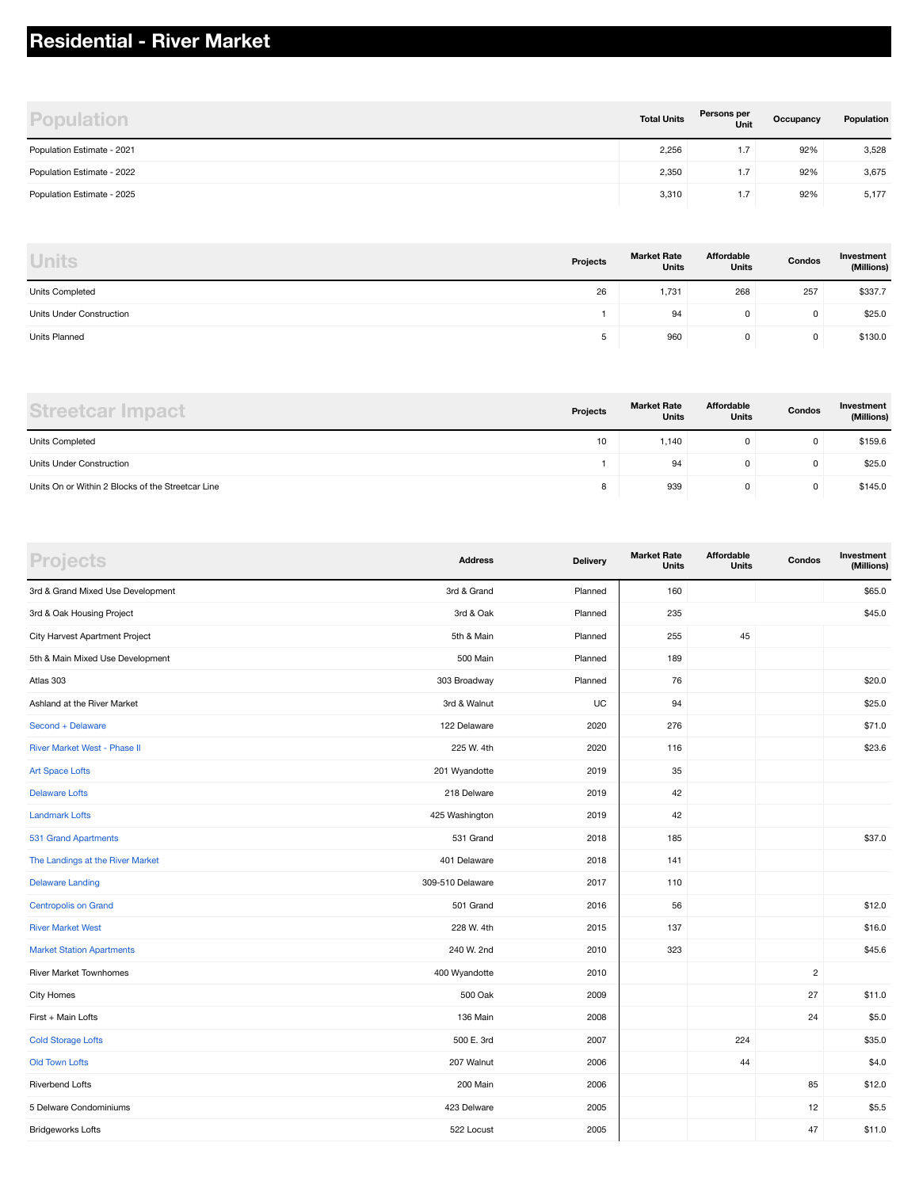## **Residential - River Market**

| <b>Population</b>          | <b>Total Units</b> | Persons per<br>Unit | Occupancy | Population |
|----------------------------|--------------------|---------------------|-----------|------------|
| Population Estimate - 2021 | 2,256              | 1.7                 | 92%       | 3,528      |
| Population Estimate - 2022 | 2,350              | 1.7                 | 92%       | 3,675      |
| Population Estimate - 2025 | 3,310              | 1.7                 | 92%       | 5,177      |

| <b>Units</b>             | Projects | <b>Market Rate</b><br><b>Units</b> | Affordable<br><b>Units</b> | Condos | Investment<br>(Millions) |
|--------------------------|----------|------------------------------------|----------------------------|--------|--------------------------|
| Units Completed          | 26       | 1,731                              | 268                        | 257    | \$337.7                  |
| Units Under Construction |          | 94                                 | 0                          | 0      | \$25.0                   |
| Units Planned            | ь<br>J   | 960                                | 0                          | 0      | \$130.0                  |

| Streetcar Imp                                     | Projects | <b>Market Rate</b><br><b>Units</b> | Affordable<br><b>Units</b> | Condos | Investment<br>(Millions) |
|---------------------------------------------------|----------|------------------------------------|----------------------------|--------|--------------------------|
| Units Completed                                   | 10       | 1,140                              |                            | 0      | \$159.6                  |
| Units Under Construction                          |          | 94                                 | 0                          | 0      | \$25.0                   |
| Units On or Within 2 Blocks of the Streetcar Line | ۰        | 939                                | O                          | 0      | \$145.0                  |

| <b>Projects</b>                   | <b>Address</b>   | <b>Delivery</b> | <b>Market Rate</b><br><b>Units</b> | Affordable<br><b>Units</b> | Condos         | Investment<br>(Millions) |
|-----------------------------------|------------------|-----------------|------------------------------------|----------------------------|----------------|--------------------------|
| 3rd & Grand Mixed Use Development | 3rd & Grand      | Planned         | 160                                |                            |                | \$65.0                   |
| 3rd & Oak Housing Project         | 3rd & Oak        | Planned         | 235                                |                            |                | \$45.0                   |
| City Harvest Apartment Project    | 5th & Main       | Planned         | 255                                | 45                         |                |                          |
| 5th & Main Mixed Use Development  | 500 Main         | Planned         | 189                                |                            |                |                          |
| Atlas 303                         | 303 Broadway     | Planned         | 76                                 |                            |                | \$20.0                   |
| Ashland at the River Market       | 3rd & Walnut     | UC              | 94                                 |                            |                | \$25.0                   |
| Second + Delaware                 | 122 Delaware     | 2020            | 276                                |                            |                | \$71.0                   |
| River Market West - Phase II      | 225 W. 4th       | 2020            | 116                                |                            |                | \$23.6                   |
| <b>Art Space Lofts</b>            | 201 Wyandotte    | 2019            | 35                                 |                            |                |                          |
| <b>Delaware Lofts</b>             | 218 Delware      | 2019            | 42                                 |                            |                |                          |
| <b>Landmark Lofts</b>             | 425 Washington   | 2019            | 42                                 |                            |                |                          |
| 531 Grand Apartments              | 531 Grand        | 2018            | 185                                |                            |                | \$37.0                   |
| The Landings at the River Market  | 401 Delaware     | 2018            | 141                                |                            |                |                          |
| <b>Delaware Landing</b>           | 309-510 Delaware | 2017            | 110                                |                            |                |                          |
| <b>Centropolis on Grand</b>       | 501 Grand        | 2016            | 56                                 |                            |                | \$12.0                   |
| <b>River Market West</b>          | 228 W. 4th       | 2015            | 137                                |                            |                | \$16.0                   |
| <b>Market Station Apartments</b>  | 240 W. 2nd       | 2010            | 323                                |                            |                | \$45.6                   |
| River Market Townhomes            | 400 Wyandotte    | 2010            |                                    |                            | $\overline{c}$ |                          |
| City Homes                        | 500 Oak          | 2009            |                                    |                            | 27             | \$11.0                   |
| First + Main Lofts                | 136 Main         | 2008            |                                    |                            | 24             | \$5.0                    |
| <b>Cold Storage Lofts</b>         | 500 E. 3rd       | 2007            |                                    | 224                        |                | \$35.0                   |
| <b>Old Town Lofts</b>             | 207 Walnut       | 2006            |                                    | 44                         |                | \$4.0                    |
| <b>Riverbend Lofts</b>            | 200 Main         | 2006            |                                    |                            | 85             | \$12.0                   |
| 5 Delware Condominiums            | 423 Delware      | 2005            |                                    |                            | 12             | \$5.5                    |
| <b>Bridgeworks Lofts</b>          | 522 Locust       | 2005            |                                    |                            | 47             | \$11.0                   |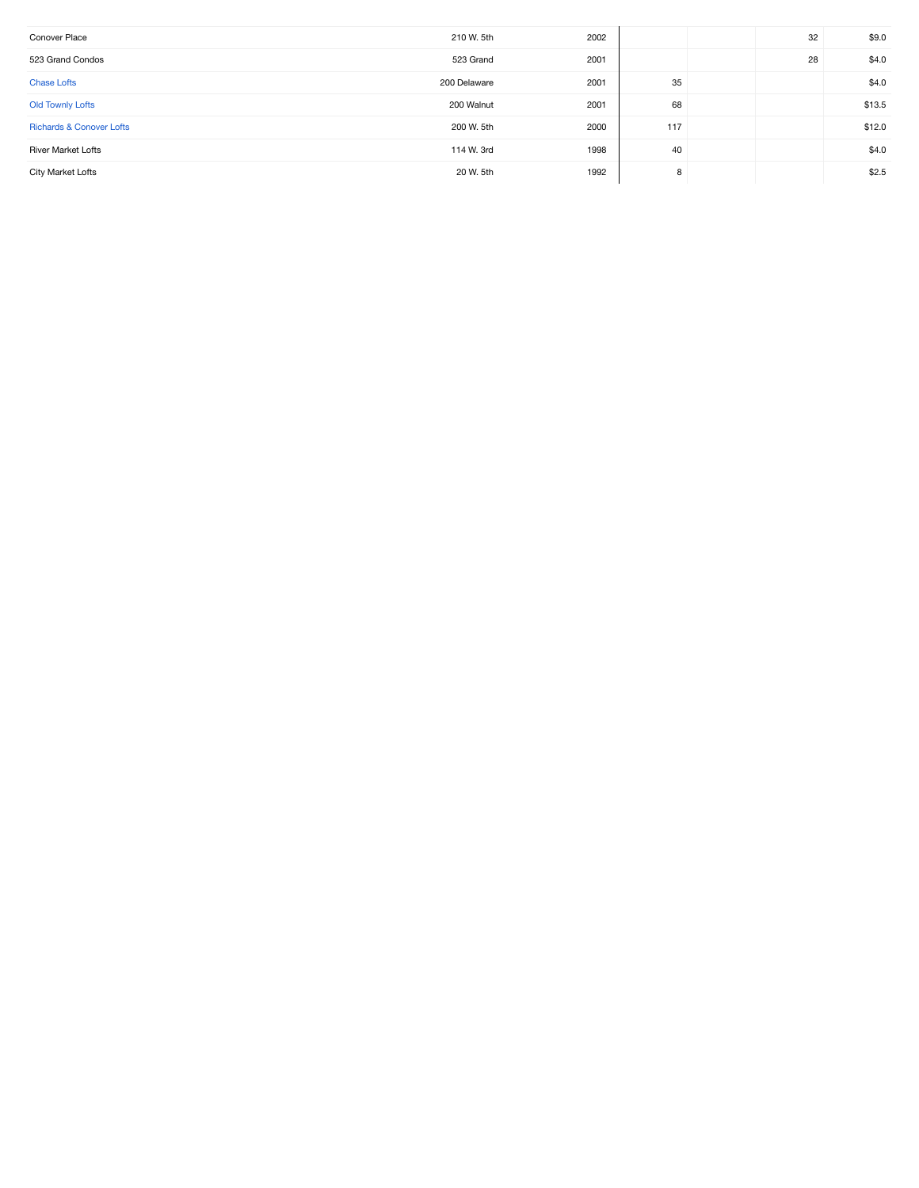| Conover Place                       | 210 W. 5th   | 2002 |     | 32 | \$9.0  |
|-------------------------------------|--------------|------|-----|----|--------|
| 523 Grand Condos                    | 523 Grand    | 2001 |     | 28 | \$4.0  |
| <b>Chase Lofts</b>                  | 200 Delaware | 2001 | 35  |    | \$4.0  |
| <b>Old Townly Lofts</b>             | 200 Walnut   | 2001 | 68  |    | \$13.5 |
| <b>Richards &amp; Conover Lofts</b> | 200 W. 5th   | 2000 | 117 |    | \$12.0 |
| <b>River Market Lofts</b>           | 114 W. 3rd   | 1998 | 40  |    | \$4.0  |
| City Market Lofts                   | 20 W. 5th    | 1992 | 8   |    | \$2.5  |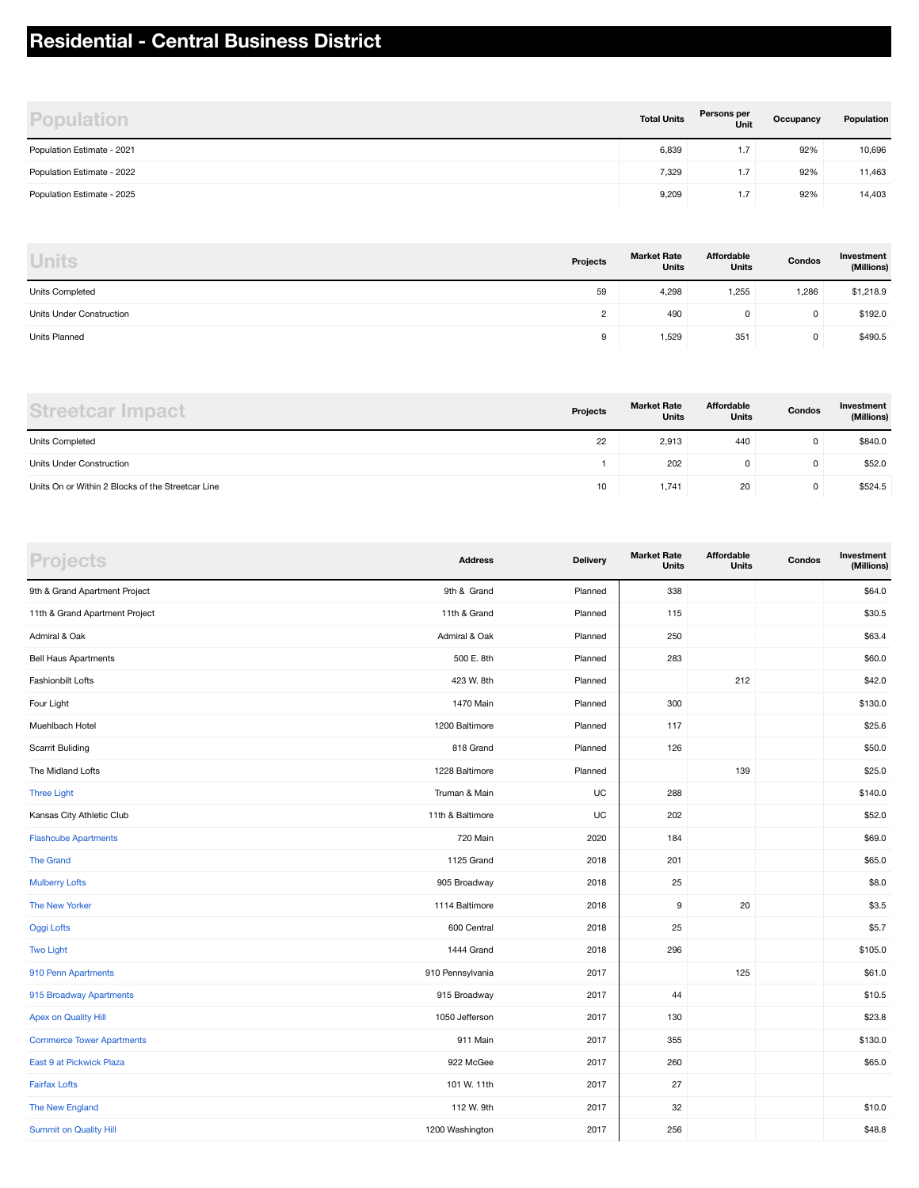## **Residential - Central Business District**

| <b>Population</b>          | <b>Total Units</b> | Persons per<br>Unit           | Occupancy | Population |
|----------------------------|--------------------|-------------------------------|-----------|------------|
| Population Estimate - 2021 | 6,839              | 1.7                           | 92%       | 10,696     |
| Population Estimate - 2022 | 7,329              | 1.7                           | 92%       | 11,463     |
| Population Estimate - 2025 | 9,209              | $\mathbf{1} \cdot \mathbf{1}$ | 92%       | 14,403     |

| <b>Units</b>             | Projects | <b>Market Rate</b><br><b>Units</b> | Affordable<br><b>Units</b> | Condos | Investment<br>(Millions) |
|--------------------------|----------|------------------------------------|----------------------------|--------|--------------------------|
| Units Completed          | 59       | 4,298                              | 1,255                      | 1,286  | \$1,218.9                |
| Units Under Construction | C        | 490                                | 0                          | 0      | \$192.0                  |
| Units Planned            | 9        | 1,529                              | 351                        | 0      | \$490.5                  |

| <b>Streetcar Impact</b>                           | Projects | <b>Market Rate</b><br><b>Units</b> | Affordable<br><b>Units</b> | Condos | Investment<br>(Millions) |
|---------------------------------------------------|----------|------------------------------------|----------------------------|--------|--------------------------|
| <b>Units Completed</b>                            | 22       | 2,913                              | 440                        | 0      | \$840.0                  |
| Units Under Construction                          |          | 202                                |                            | 0      | \$52.0                   |
| Units On or Within 2 Blocks of the Streetcar Line | 10       | 1,741                              | 20                         | 0      | \$524.5                  |

| <b>Projects</b>                  | <b>Address</b>   | Delivery | <b>Market Rate</b><br>Units | Affordable<br><b>Units</b> | Condos | Investment<br>(Millions) |
|----------------------------------|------------------|----------|-----------------------------|----------------------------|--------|--------------------------|
| 9th & Grand Apartment Project    | 9th & Grand      | Planned  | 338                         |                            |        | \$64.0                   |
| 11th & Grand Apartment Project   | 11th & Grand     | Planned  | 115                         |                            |        | \$30.5                   |
| Admiral & Oak                    | Admiral & Oak    | Planned  | 250                         |                            |        | \$63.4                   |
| <b>Bell Haus Apartments</b>      | 500 E. 8th       | Planned  | 283                         |                            |        | \$60.0                   |
| <b>Fashionbilt Lofts</b>         | 423 W. 8th       | Planned  |                             | 212                        |        | \$42.0                   |
| Four Light                       | 1470 Main        | Planned  | 300                         |                            |        | \$130.0                  |
| Muehlbach Hotel                  | 1200 Baltimore   | Planned  | 117                         |                            |        | \$25.6                   |
| <b>Scarrit Buliding</b>          | 818 Grand        | Planned  | 126                         |                            |        | \$50.0                   |
| The Midland Lofts                | 1228 Baltimore   | Planned  |                             | 139                        |        | \$25.0                   |
| <b>Three Light</b>               | Truman & Main    | UC       | 288                         |                            |        | \$140.0                  |
| Kansas City Athletic Club        | 11th & Baltimore | UC       | 202                         |                            |        | \$52.0                   |
| <b>Flashcube Apartments</b>      | 720 Main         | 2020     | 184                         |                            |        | \$69.0                   |
| <b>The Grand</b>                 | 1125 Grand       | 2018     | 201                         |                            |        | \$65.0                   |
| <b>Mulberry Lofts</b>            | 905 Broadway     | 2018     | 25                          |                            |        | \$8.0                    |
| The New Yorker                   | 1114 Baltimore   | 2018     | 9                           | 20                         |        | \$3.5                    |
| Oggi Lofts                       | 600 Central      | 2018     | 25                          |                            |        | \$5.7                    |
| <b>Two Light</b>                 | 1444 Grand       | 2018     | 296                         |                            |        | \$105.0                  |
| 910 Penn Apartments              | 910 Pennsylvania | 2017     |                             | 125                        |        | \$61.0                   |
| 915 Broadway Apartments          | 915 Broadway     | 2017     | 44                          |                            |        | \$10.5                   |
| <b>Apex on Quality Hill</b>      | 1050 Jefferson   | 2017     | 130                         |                            |        | \$23.8                   |
| <b>Commerce Tower Apartments</b> | 911 Main         | 2017     | 355                         |                            |        | \$130.0                  |
| East 9 at Pickwick Plaza         | 922 McGee        | 2017     | 260                         |                            |        | \$65.0                   |
| <b>Fairfax Lofts</b>             | 101 W. 11th      | 2017     | 27                          |                            |        |                          |
| The New England                  | 112 W. 9th       | 2017     | 32                          |                            |        | \$10.0                   |
| <b>Summit on Quality Hill</b>    | 1200 Washington  | 2017     | 256                         |                            |        | \$48.8                   |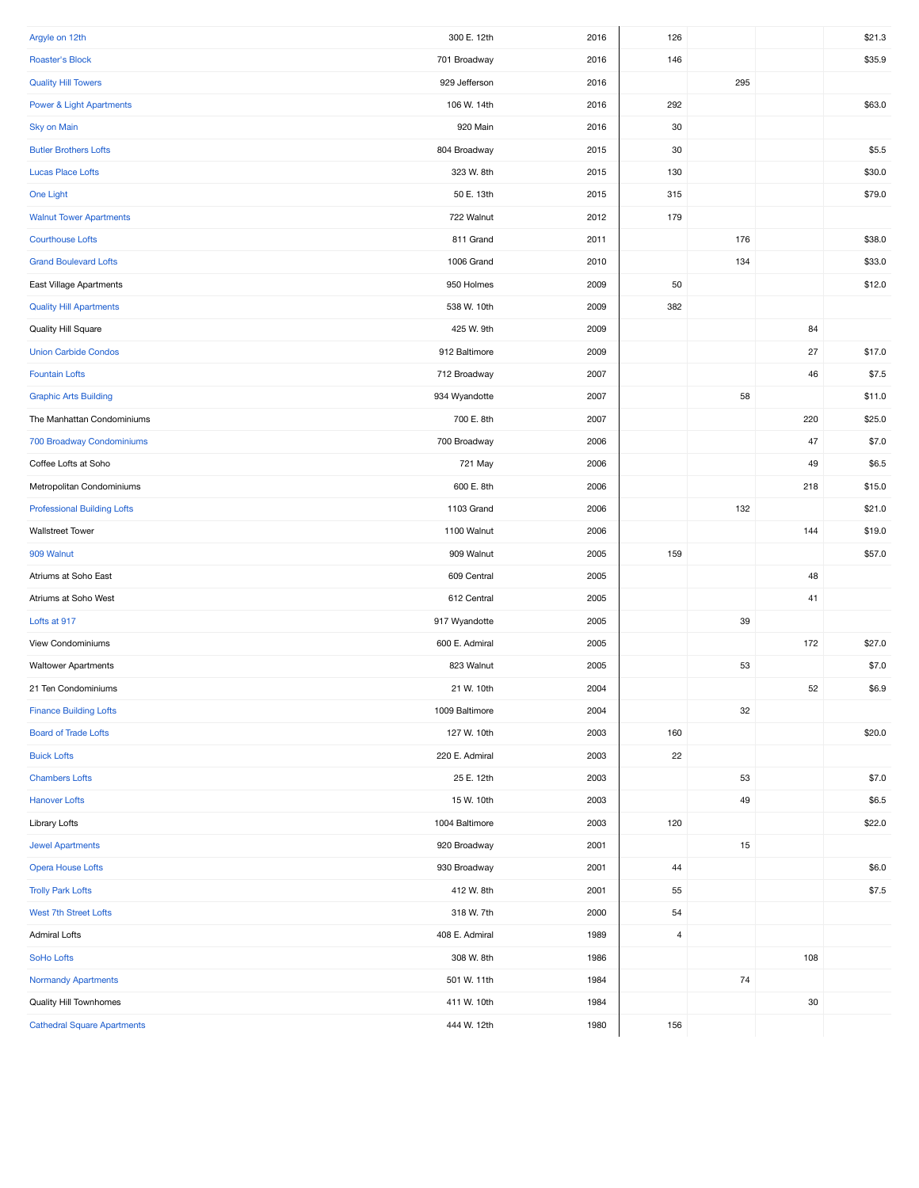| Argyle on 12th                      | 300 E. 12th    | 2016 | 126            |      |     | \$21.3 |
|-------------------------------------|----------------|------|----------------|------|-----|--------|
| Roaster's Block                     | 701 Broadway   | 2016 | 146            |      |     | \$35.9 |
| <b>Quality Hill Towers</b>          | 929 Jefferson  | 2016 |                | 295  |     |        |
| <b>Power &amp; Light Apartments</b> | 106 W. 14th    | 2016 | 292            |      |     | \$63.0 |
| <b>Sky on Main</b>                  | 920 Main       | 2016 | 30             |      |     |        |
| <b>Butler Brothers Lofts</b>        | 804 Broadway   | 2015 | 30             |      |     | \$5.5  |
| <b>Lucas Place Lofts</b>            | 323 W. 8th     | 2015 | 130            |      |     | \$30.0 |
| One Light                           | 50 E. 13th     | 2015 | 315            |      |     | \$79.0 |
| <b>Walnut Tower Apartments</b>      | 722 Walnut     | 2012 | 179            |      |     |        |
| <b>Courthouse Lofts</b>             | 811 Grand      | 2011 |                | 176  |     | \$38.0 |
| <b>Grand Boulevard Lofts</b>        | 1006 Grand     | 2010 |                | 134  |     | \$33.0 |
| East Village Apartments             | 950 Holmes     | 2009 | 50             |      |     | \$12.0 |
| <b>Quality Hill Apartments</b>      | 538 W. 10th    | 2009 | 382            |      |     |        |
| Quality Hill Square                 | 425 W. 9th     | 2009 |                |      | 84  |        |
| <b>Union Carbide Condos</b>         | 912 Baltimore  | 2009 |                |      | 27  | \$17.0 |
| <b>Fountain Lofts</b>               | 712 Broadway   | 2007 |                |      | 46  | \$7.5  |
| <b>Graphic Arts Building</b>        | 934 Wyandotte  | 2007 |                | 58   |     | \$11.0 |
| The Manhattan Condominiums          | 700 E. 8th     | 2007 |                |      | 220 | \$25.0 |
| 700 Broadway Condominiums           | 700 Broadway   | 2006 |                |      | 47  | \$7.0  |
| Coffee Lofts at Soho                | 721 May        | 2006 |                |      | 49  | \$6.5  |
| Metropolitan Condominiums           | 600 E. 8th     | 2006 |                |      | 218 | \$15.0 |
| <b>Professional Building Lofts</b>  | 1103 Grand     | 2006 |                | 132  |     | \$21.0 |
| <b>Wallstreet Tower</b>             | 1100 Walnut    | 2006 |                |      | 144 | \$19.0 |
| 909 Walnut                          | 909 Walnut     | 2005 | 159            |      |     | \$57.0 |
| Atriums at Soho East                | 609 Central    | 2005 |                |      | 48  |        |
| Atriums at Soho West                | 612 Central    | 2005 |                |      | 41  |        |
| Lofts at 917                        | 917 Wyandotte  | 2005 |                | 39   |     |        |
| View Condominiums                   | 600 E. Admiral | 2005 |                |      | 172 | \$27.0 |
| <b>Waltower Apartments</b>          | 823 Walnut     | 2005 |                | 53   |     | \$7.0  |
| 21 Ten Condominiums                 | 21 W. 10th     | 2004 |                |      | 52  | \$6.9  |
| <b>Finance Building Lofts</b>       | 1009 Baltimore | 2004 |                | 32   |     |        |
| <b>Board of Trade Lofts</b>         | 127 W. 10th    | 2003 | 160            |      |     | \$20.0 |
| <b>Buick Lofts</b>                  | 220 E. Admiral | 2003 | 22             |      |     |        |
| <b>Chambers Lofts</b>               | 25 E. 12th     | 2003 |                | 53   |     | \$7.0  |
| <b>Hanover Lofts</b>                | 15 W. 10th     | 2003 |                | 49   |     | \$6.5  |
| Library Lofts                       | 1004 Baltimore | 2003 | 120            |      |     | \$22.0 |
| <b>Jewel Apartments</b>             | 920 Broadway   | 2001 |                | 15   |     |        |
| <b>Opera House Lofts</b>            | 930 Broadway   | 2001 | 44             |      |     | \$6.0  |
| <b>Trolly Park Lofts</b>            | 412 W. 8th     | 2001 | 55             |      |     | \$7.5  |
| West 7th Street Lofts               | 318 W. 7th     | 2000 | 54             |      |     |        |
| <b>Admiral Lofts</b>                | 408 E. Admiral | 1989 | $\overline{4}$ |      |     |        |
| SoHo Lofts                          | 308 W. 8th     | 1986 |                |      | 108 |        |
| <b>Normandy Apartments</b>          | 501 W. 11th    | 1984 |                | $74$ |     |        |
| Quality Hill Townhomes              | 411 W. 10th    | 1984 |                |      | 30  |        |
| <b>Cathedral Square Apartments</b>  | 444 W. 12th    | 1980 | 156            |      |     |        |
|                                     |                |      |                |      |     |        |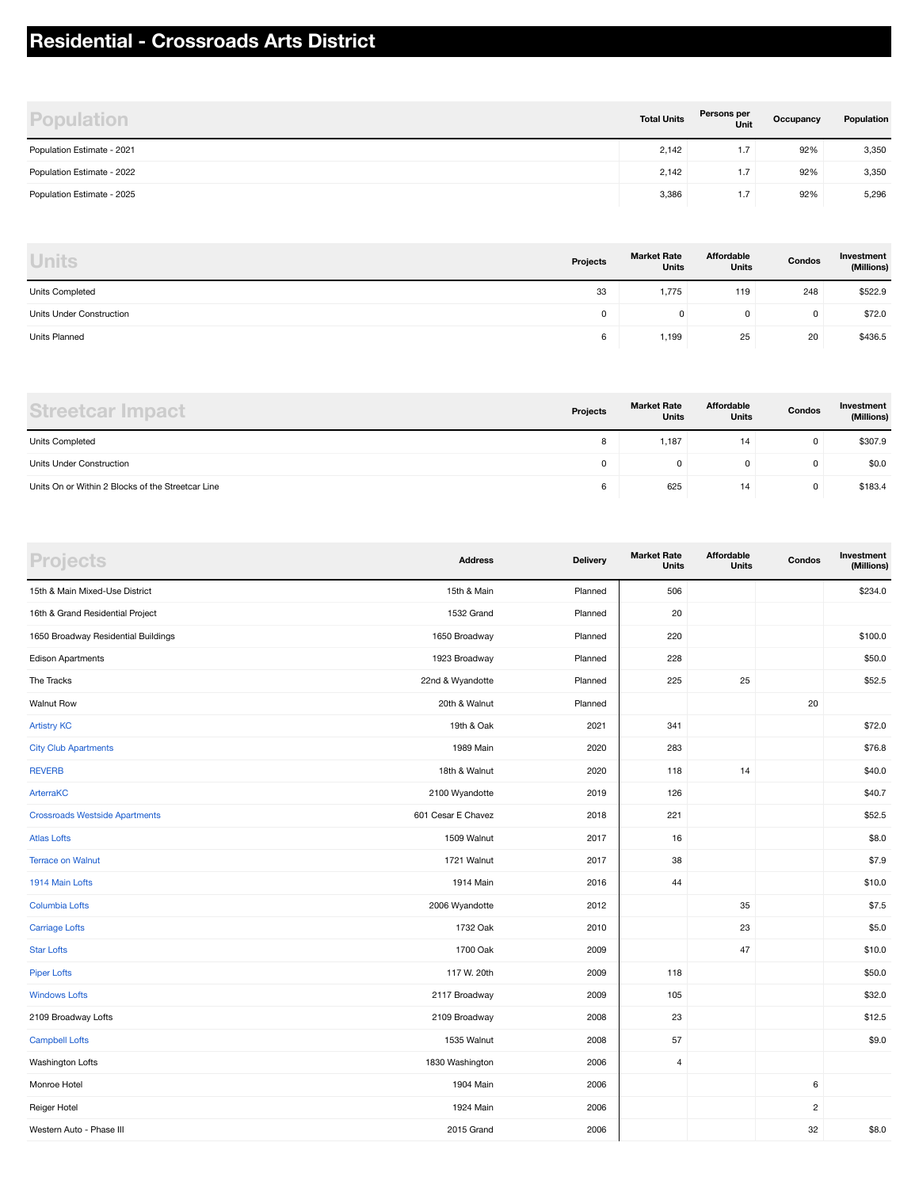## **Residential - Crossroads Arts District**

| <b>Population</b>          | <b>Total Units</b> | Persons per<br>Unit | Occupancy | Population |
|----------------------------|--------------------|---------------------|-----------|------------|
| Population Estimate - 2021 | 2,142              | 1.7                 | 92%       | 3,350      |
| Population Estimate - 2022 | 2,142              | 1.7                 | 92%       | 3,350      |
| Population Estimate - 2025 | 3,386              | 1.7                 | 92%       | 5,296      |

| <b>Units</b>             | Projects | <b>Market Rate</b><br><b>Units</b> | Affordable<br><b>Units</b> | Condos | Investment<br>(Millions) |
|--------------------------|----------|------------------------------------|----------------------------|--------|--------------------------|
| Units Completed          | 33       | 1,775                              | 119                        | 248    | \$522.9                  |
| Units Under Construction |          | 0                                  | 0                          | 0      | \$72.0                   |
| Units Planned            | 6        | 1,199                              | 25                         | 20     | \$436.5                  |

| Streetcar Impact                                  | Projects | <b>Market Rate</b><br><b>Units</b> | Affordable<br><b>Units</b> | Condos | Investment<br>(Millions) |
|---------------------------------------------------|----------|------------------------------------|----------------------------|--------|--------------------------|
| <b>Units Completed</b>                            | $\circ$  | 1.187                              | 14                         | 0      | \$307.9                  |
| Units Under Construction                          | 0        |                                    |                            | 0      | \$0.0                    |
| Units On or Within 2 Blocks of the Streetcar Line | 6        | 625                                | 14                         | 0      | \$183.4                  |

| <b>Projects</b>                       | <b>Address</b>     | <b>Delivery</b> | <b>Market Rate</b><br><b>Units</b> | Affordable<br><b>Units</b> | Condos         | Investment<br>(Millions) |
|---------------------------------------|--------------------|-----------------|------------------------------------|----------------------------|----------------|--------------------------|
| 15th & Main Mixed-Use District        | 15th & Main        | Planned         | 506                                |                            |                | \$234.0                  |
| 16th & Grand Residential Project      | 1532 Grand         | Planned         | 20                                 |                            |                |                          |
| 1650 Broadway Residential Buildings   | 1650 Broadway      | Planned         | 220                                |                            |                | \$100.0                  |
| Edison Apartments                     | 1923 Broadway      | Planned         | 228                                |                            |                | \$50.0                   |
| The Tracks                            | 22nd & Wyandotte   | Planned         | 225                                | 25                         |                | \$52.5                   |
| <b>Walnut Row</b>                     | 20th & Walnut      | Planned         |                                    |                            | 20             |                          |
| <b>Artistry KC</b>                    | 19th & Oak         | 2021            | 341                                |                            |                | \$72.0                   |
| <b>City Club Apartments</b>           | 1989 Main          | 2020            | 283                                |                            |                | \$76.8                   |
| <b>REVERB</b>                         | 18th & Walnut      | 2020            | 118                                | 14                         |                | \$40.0                   |
| ArterraKC                             | 2100 Wyandotte     | 2019            | 126                                |                            |                | \$40.7                   |
| <b>Crossroads Westside Apartments</b> | 601 Cesar E Chavez | 2018            | 221                                |                            |                | \$52.5                   |
| <b>Atlas Lofts</b>                    | 1509 Walnut        | 2017            | 16                                 |                            |                | \$8.0                    |
| <b>Terrace on Walnut</b>              | 1721 Walnut        | 2017            | 38                                 |                            |                | \$7.9                    |
| 1914 Main Lofts                       | 1914 Main          | 2016            | 44                                 |                            |                | \$10.0                   |
| <b>Columbia Lofts</b>                 | 2006 Wyandotte     | 2012            |                                    | 35                         |                | \$7.5                    |
| <b>Carriage Lofts</b>                 | 1732 Oak           | 2010            |                                    | 23                         |                | \$5.0                    |
| <b>Star Lofts</b>                     | 1700 Oak           | 2009            |                                    | 47                         |                | \$10.0                   |
| <b>Piper Lofts</b>                    | 117 W. 20th        | 2009            | 118                                |                            |                | \$50.0                   |
| <b>Windows Lofts</b>                  | 2117 Broadway      | 2009            | 105                                |                            |                | \$32.0                   |
| 2109 Broadway Lofts                   | 2109 Broadway      | 2008            | 23                                 |                            |                | \$12.5                   |
| <b>Campbell Lofts</b>                 | 1535 Walnut        | 2008            | 57                                 |                            |                | \$9.0                    |
| Washington Lofts                      | 1830 Washington    | 2006            | $\overline{4}$                     |                            |                |                          |
| Monroe Hotel                          | 1904 Main          | 2006            |                                    |                            | 6              |                          |
| Reiger Hotel                          | 1924 Main          | 2006            |                                    |                            | $\overline{2}$ |                          |
| Western Auto - Phase III              | 2015 Grand         | 2006            |                                    |                            | 32             | \$8.0                    |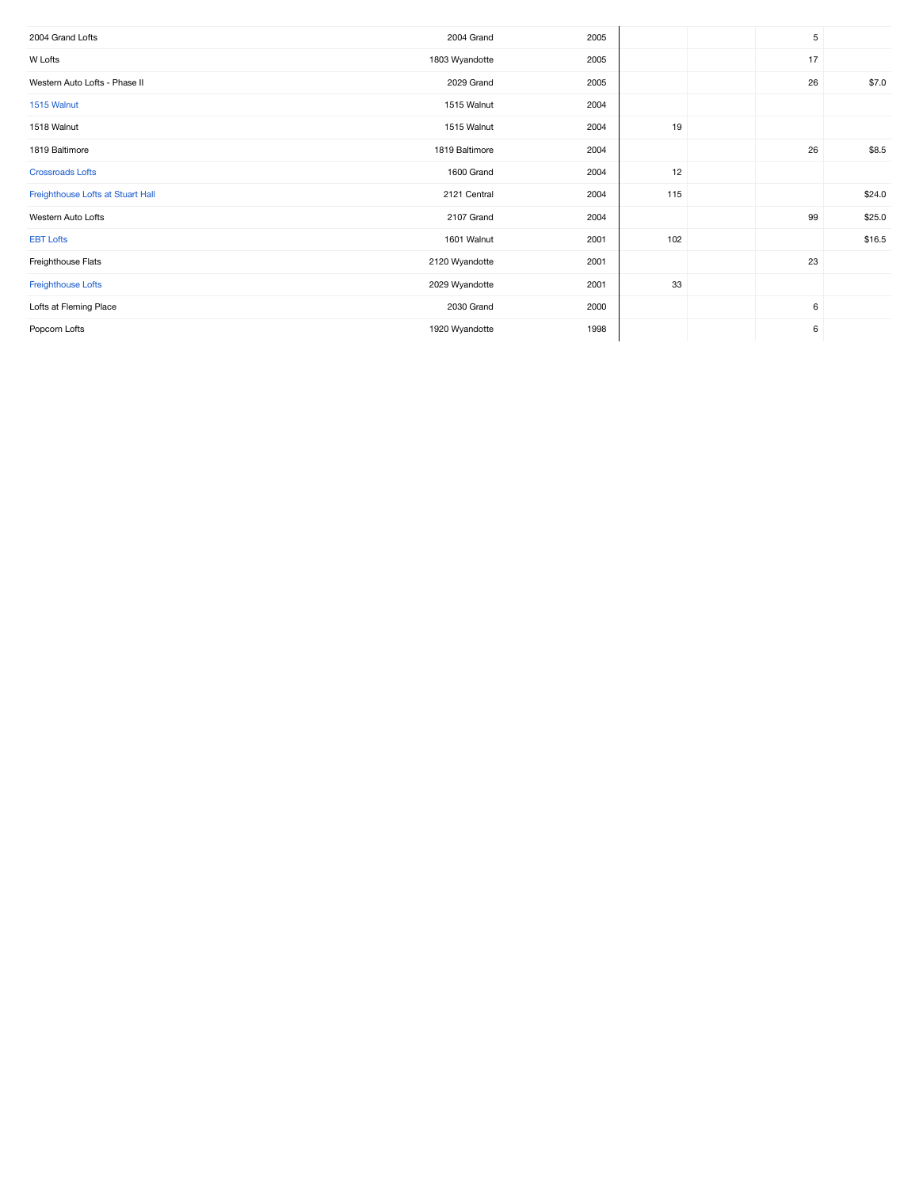| 2004 Grand Lofts                  | 2004 Grand     | 2005 |     | 5  |        |
|-----------------------------------|----------------|------|-----|----|--------|
| W Lofts                           | 1803 Wyandotte | 2005 |     | 17 |        |
| Western Auto Lofts - Phase II     | 2029 Grand     | 2005 |     | 26 | \$7.0  |
| 1515 Walnut                       | 1515 Walnut    | 2004 |     |    |        |
| 1518 Walnut                       | 1515 Walnut    | 2004 | 19  |    |        |
| 1819 Baltimore                    | 1819 Baltimore | 2004 |     | 26 | \$8.5  |
| <b>Crossroads Lofts</b>           | 1600 Grand     | 2004 | 12  |    |        |
| Freighthouse Lofts at Stuart Hall | 2121 Central   | 2004 | 115 |    | \$24.0 |
| Western Auto Lofts                | 2107 Grand     | 2004 |     | 99 | \$25.0 |
| <b>EBT Lofts</b>                  | 1601 Walnut    | 2001 | 102 |    | \$16.5 |
| Freighthouse Flats                | 2120 Wyandotte | 2001 |     | 23 |        |
| Freighthouse Lofts                | 2029 Wyandotte | 2001 | 33  |    |        |
| Lofts at Fleming Place            | 2030 Grand     | 2000 |     | 6  |        |
| Popcorn Lofts                     | 1920 Wyandotte | 1998 |     | 6  |        |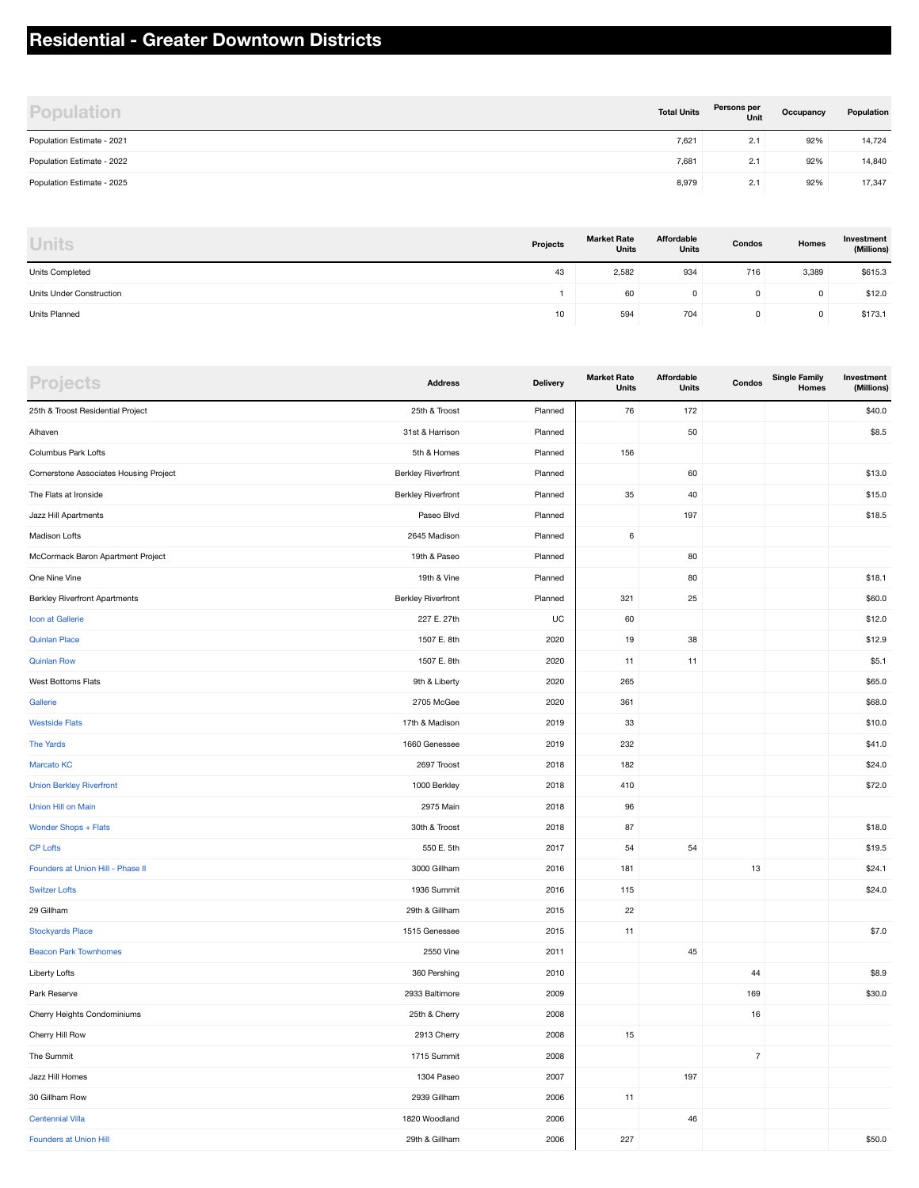#### **Residential - Greater Downtown Districts**

| <b>Population</b>          | <b>Total Units</b> | Persons per<br>Unit | Occupancy | Population |
|----------------------------|--------------------|---------------------|-----------|------------|
| Population Estimate - 2021 | 7,621              | 2.1                 | 92%       | 14,724     |
| Population Estimate - 2022 | 7,681              | 2.1                 | 92%       | 14,840     |
| Population Estimate - 2025 | 8,979              | 2.1                 | 92%       | 17,347     |

| <b>Units</b>             | Projects | <b>Market Rate</b><br><b>Units</b> | Affordable<br>Units | Condos | Homes | Investment<br>(Millions) |
|--------------------------|----------|------------------------------------|---------------------|--------|-------|--------------------------|
| Units Completed          | 43       | 2,582                              | 934                 | 716    | 3,389 | \$615.3                  |
| Units Under Construction |          | 60                                 | $^{\circ}$          | 0      |       | \$12.0                   |
| Units Planned            | 10       | 594                                | 704                 | 0      |       | \$173.1                  |

| <b>Projects</b>                        | <b>Address</b>            | <b>Delivery</b> | <b>Market Rate</b><br>Units | Affordable<br>Units | Condos         | <b>Single Family</b><br>Homes | Investment<br>(Millions) |
|----------------------------------------|---------------------------|-----------------|-----------------------------|---------------------|----------------|-------------------------------|--------------------------|
| 25th & Troost Residential Project      | 25th & Troost             | Planned         | 76                          | 172                 |                |                               | \$40.0                   |
| Alhaven                                | 31st & Harrison           | Planned         |                             | 50                  |                |                               | \$8.5                    |
| Columbus Park Lofts                    | 5th & Homes               | Planned         | 156                         |                     |                |                               |                          |
| Cornerstone Associates Housing Project | <b>Berkley Riverfront</b> | Planned         |                             | 60                  |                |                               | \$13.0                   |
| The Flats at Ironside                  | <b>Berkley Riverfront</b> | Planned         | 35                          | 40                  |                |                               | \$15.0                   |
| Jazz Hill Apartments                   | Paseo Blvd                | Planned         |                             | 197                 |                |                               | \$18.5                   |
| Madison Lofts                          | 2645 Madison              | Planned         | 6                           |                     |                |                               |                          |
| McCormack Baron Apartment Project      | 19th & Paseo              | Planned         |                             | 80                  |                |                               |                          |
| One Nine Vine                          | 19th & Vine               | Planned         |                             | 80                  |                |                               | \$18.1                   |
| <b>Berkley Riverfront Apartments</b>   | <b>Berkley Riverfront</b> | Planned         | 321                         | 25                  |                |                               | \$60.0                   |
| Icon at Gallerie                       | 227 E. 27th               | UC              | 60                          |                     |                |                               | \$12.0                   |
| <b>Quinlan Place</b>                   | 1507 E. 8th               | 2020            | 19                          | 38                  |                |                               | \$12.9                   |
| <b>Quinlan Row</b>                     | 1507 E. 8th               | 2020            | 11                          | 11                  |                |                               | \$5.1                    |
| West Bottoms Flats                     | 9th & Liberty             | 2020            | 265                         |                     |                |                               | \$65.0                   |
| Gallerie                               | 2705 McGee                | 2020            | 361                         |                     |                |                               | \$68.0                   |
| <b>Westside Flats</b>                  | 17th & Madison            | 2019            | 33                          |                     |                |                               | \$10.0                   |
| <b>The Yards</b>                       | 1660 Genessee             | 2019            | 232                         |                     |                |                               | \$41.0                   |
| <b>Marcato KC</b>                      | 2697 Troost               | 2018            | 182                         |                     |                |                               | \$24.0                   |
| <b>Union Berkley Riverfront</b>        | 1000 Berkley              | 2018            | 410                         |                     |                |                               | \$72.0                   |
| Union Hill on Main                     | 2975 Main                 | 2018            | 96                          |                     |                |                               |                          |
| Wonder Shops + Flats                   | 30th & Troost             | 2018            | 87                          |                     |                |                               | \$18.0                   |
| <b>CP Lofts</b>                        | 550 E. 5th                | 2017            | 54                          | 54                  |                |                               | \$19.5                   |
| Founders at Union Hill - Phase II      | 3000 Gillham              | 2016            | 181                         |                     | 13             |                               | \$24.1                   |
| <b>Switzer Lofts</b>                   | 1936 Summit               | 2016            | 115                         |                     |                |                               | \$24.0                   |
| 29 Gillham                             | 29th & Gillham            | 2015            | 22                          |                     |                |                               |                          |
| <b>Stockyards Place</b>                | 1515 Genessee             | 2015            | 11                          |                     |                |                               | \$7.0                    |
| <b>Beacon Park Townhomes</b>           | 2550 Vine                 | 2011            |                             | 45                  |                |                               |                          |
| Liberty Lofts                          | 360 Pershing              | 2010            |                             |                     | 44             |                               | \$8.9                    |
| Park Reserve                           | 2933 Baltimore            | 2009            |                             |                     | 169            |                               | \$30.0                   |
| Cherry Heights Condominiums            | 25th & Cherry             | 2008            |                             |                     | $16\,$         |                               |                          |
| Cherry Hill Row                        | 2913 Cherry               | 2008            | 15                          |                     |                |                               |                          |
| The Summit                             | 1715 Summit               | 2008            |                             |                     | $\overline{7}$ |                               |                          |
| Jazz Hill Homes                        | 1304 Paseo                | 2007            |                             | 197                 |                |                               |                          |
| 30 Gillham Row                         | 2939 Gillham              | 2006            | 11                          |                     |                |                               |                          |
| <b>Centennial Villa</b>                | 1820 Woodland             | 2006            |                             | 46                  |                |                               |                          |
| <b>Founders at Union Hill</b>          | 29th & Gillham            | 2006            | 227                         |                     |                |                               | \$50.0                   |